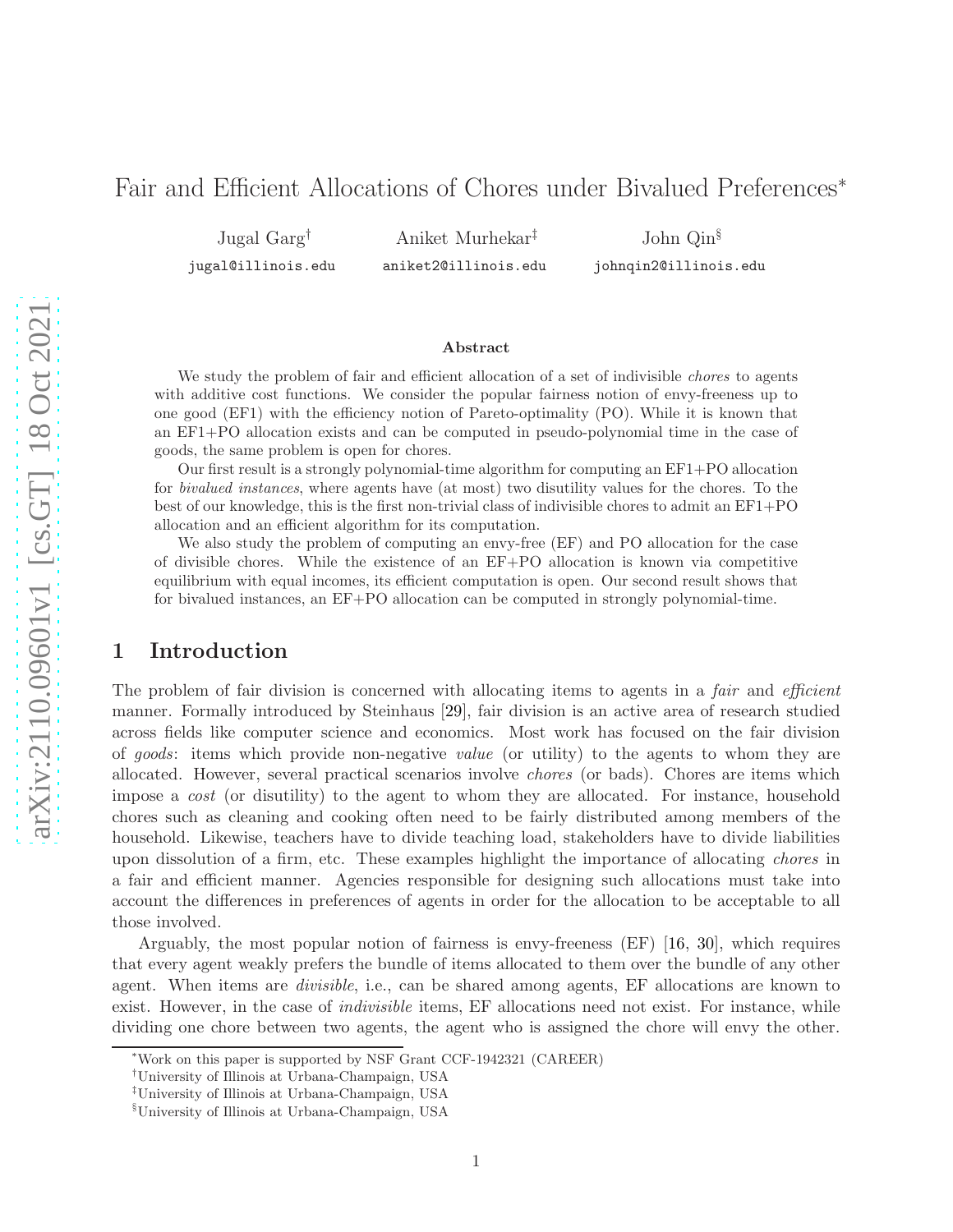# Fair and Efficient Allocations of Chores under Bivalued Preferences<sup>∗</sup>

Jugal Garg†

jugal@illinois.edu

Aniket Murhekar‡ aniket2@illinois.edu John Qin§

johnqin2@illinois.edu

#### Abstract

We study the problem of fair and efficient allocation of a set of indivisible *chores* to agents with additive cost functions. We consider the popular fairness notion of envy-freeness up to one good (EF1) with the efficiency notion of Pareto-optimality (PO). While it is known that an EF1+PO allocation exists and can be computed in pseudo-polynomial time in the case of goods, the same problem is open for chores.

Our first result is a strongly polynomial-time algorithm for computing an EF1+PO allocation for bivalued instances, where agents have (at most) two disutility values for the chores. To the best of our knowledge, this is the first non-trivial class of indivisible chores to admit an EF1+PO allocation and an efficient algorithm for its computation.

We also study the problem of computing an envy-free (EF) and PO allocation for the case of divisible chores. While the existence of an EF+PO allocation is known via competitive equilibrium with equal incomes, its efficient computation is open. Our second result shows that for bivalued instances, an EF+PO allocation can be computed in strongly polynomial-time.

# 1 Introduction

The problem of fair division is concerned with allocating items to agents in a *fair* and *efficient* manner. Formally introduced by Steinhaus [\[29\]](#page-24-0), fair division is an active area of research studied across fields like computer science and economics. Most work has focused on the fair division of goods: items which provide non-negative value (or utility) to the agents to whom they are allocated. However, several practical scenarios involve chores (or bads). Chores are items which impose a cost (or disutility) to the agent to whom they are allocated. For instance, household chores such as cleaning and cooking often need to be fairly distributed among members of the household. Likewise, teachers have to divide teaching load, stakeholders have to divide liabilities upon dissolution of a firm, etc. These examples highlight the importance of allocating chores in a fair and efficient manner. Agencies responsible for designing such allocations must take into account the differences in preferences of agents in order for the allocation to be acceptable to all those involved.

Arguably, the most popular notion of fairness is envy-freeness (EF) [\[16,](#page-23-0) [30\]](#page-24-1), which requires that every agent weakly prefers the bundle of items allocated to them over the bundle of any other agent. When items are divisible, i.e., can be shared among agents, EF allocations are known to exist. However, in the case of *indivisible* items, EF allocations need not exist. For instance, while dividing one chore between two agents, the agent who is assigned the chore will envy the other.

<sup>∗</sup>Work on this paper is supported by NSF Grant CCF-1942321 (CAREER)

<sup>†</sup>University of Illinois at Urbana-Champaign, USA

<sup>‡</sup>University of Illinois at Urbana-Champaign, USA

<sup>§</sup>University of Illinois at Urbana-Champaign, USA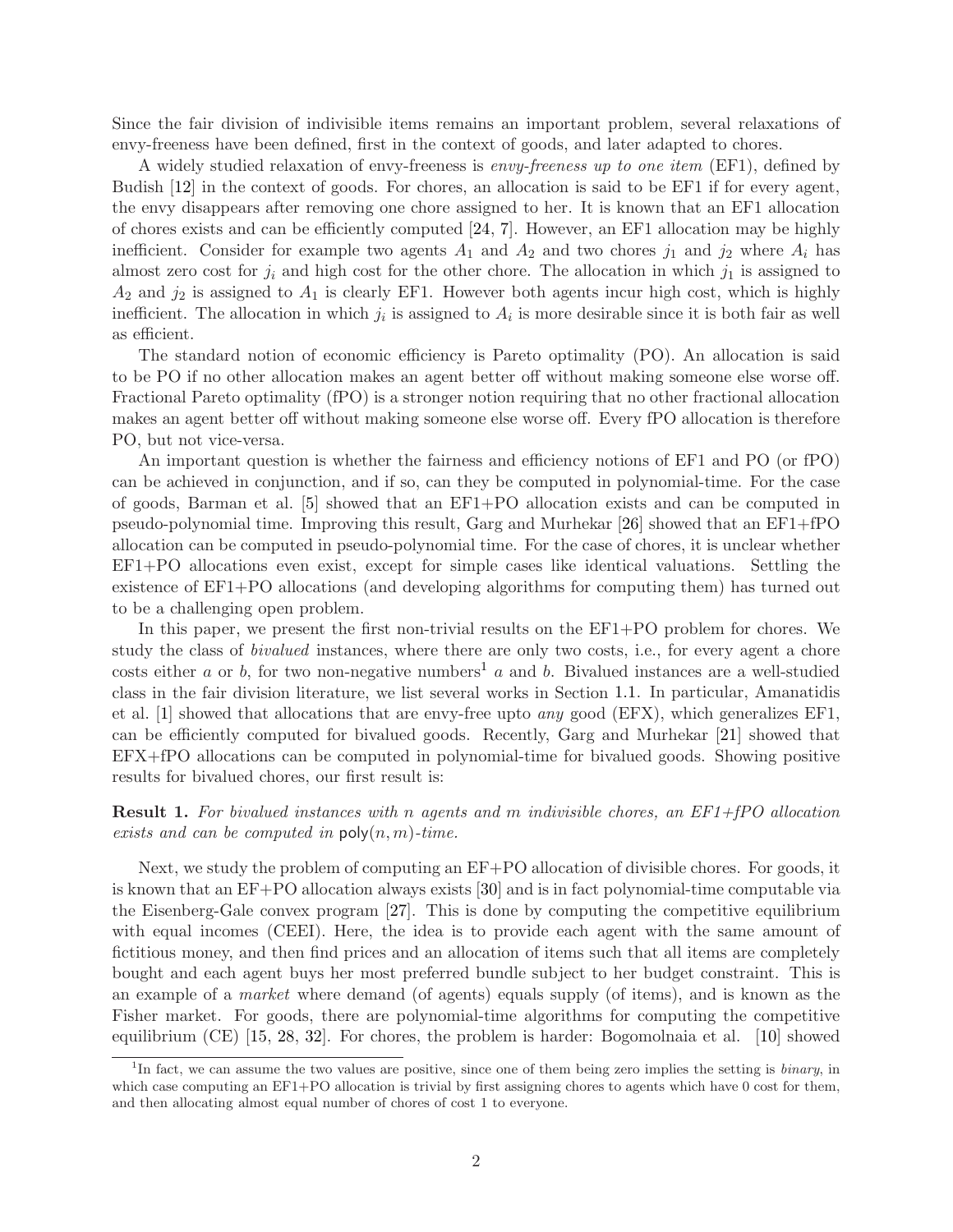Since the fair division of indivisible items remains an important problem, several relaxations of envy-freeness have been defined, first in the context of goods, and later adapted to chores.

A widely studied relaxation of envy-freeness is envy-freeness up to one item (EF1), defined by Budish [\[12\]](#page-23-1) in the context of goods. For chores, an allocation is said to be EF1 if for every agent, the envy disappears after removing one chore assigned to her. It is known that an EF1 allocation of chores exists and can be efficiently computed [\[24,](#page-23-2) [7\]](#page-22-0). However, an EF1 allocation may be highly inefficient. Consider for example two agents  $A_1$  and  $A_2$  and two chores  $j_1$  and  $j_2$  where  $A_i$  has almost zero cost for  $j_i$  and high cost for the other chore. The allocation in which  $j_1$  is assigned to  $A_2$  and  $j_2$  is assigned to  $A_1$  is clearly EF1. However both agents incur high cost, which is highly inefficient. The allocation in which  $j_i$  is assigned to  $A_i$  is more desirable since it is both fair as well as efficient.

The standard notion of economic efficiency is Pareto optimality (PO). An allocation is said to be PO if no other allocation makes an agent better off without making someone else worse off. Fractional Pareto optimality (fPO) is a stronger notion requiring that no other fractional allocation makes an agent better off without making someone else worse off. Every fPO allocation is therefore PO, but not vice-versa.

An important question is whether the fairness and efficiency notions of EF1 and PO (or fPO) can be achieved in conjunction, and if so, can they be computed in polynomial-time. For the case of goods, Barman et al. [\[5\]](#page-22-1) showed that an EF1+PO allocation exists and can be computed in pseudo-polynomial time. Improving this result, Garg and Murhekar [\[26\]](#page-24-2) showed that an EF1+fPO allocation can be computed in pseudo-polynomial time. For the case of chores, it is unclear whether EF1+PO allocations even exist, except for simple cases like identical valuations. Settling the existence of EF1+PO allocations (and developing algorithms for computing them) has turned out to be a challenging open problem.

In this paper, we present the first non-trivial results on the EF1+PO problem for chores. We study the class of *bivalued* instances, where there are only two costs, i.e., for every agent a chore costs either a or b, for two non-negative numbers<sup>[1](#page-1-0)</sup> a and b. Bivalued instances are a well-studied class in the fair division literature, we list several works in Section [1.1.](#page-2-0) In particular, Amanatidis et al.  $[1]$  showed that allocations that are envy-free upto *any* good (EFX), which generalizes EF1, can be efficiently computed for bivalued goods. Recently, Garg and Murhekar [\[21\]](#page-23-3) showed that EFX+fPO allocations can be computed in polynomial-time for bivalued goods. Showing positive results for bivalued chores, our first result is:

**Result 1.** For bivalued instances with n agents and m indivisible chores, an EF1+fPO allocation exists and can be computed in  $\mathsf{poly}(n,m)\text{-}time$ .

Next, we study the problem of computing an EF+PO allocation of divisible chores. For goods, it is known that an EF+PO allocation always exists [\[30\]](#page-24-1) and is in fact polynomial-time computable via the Eisenberg-Gale convex program [\[27\]](#page-24-3). This is done by computing the competitive equilibrium with equal incomes (CEEI). Here, the idea is to provide each agent with the same amount of fictitious money, and then find prices and an allocation of items such that all items are completely bought and each agent buys her most preferred bundle subject to her budget constraint. This is an example of a *market* where demand (of agents) equals supply (of items), and is known as the Fisher market. For goods, there are polynomial-time algorithms for computing the competitive equilibrium (CE) [\[15,](#page-23-4) [28,](#page-24-4) [32\]](#page-24-5). For chores, the problem is harder: Bogomolnaia et al. [\[10\]](#page-23-5) showed

<span id="page-1-0"></span><sup>&</sup>lt;sup>1</sup>In fact, we can assume the two values are positive, since one of them being zero implies the setting is *binary*, in which case computing an EF1+PO allocation is trivial by first assigning chores to agents which have 0 cost for them, and then allocating almost equal number of chores of cost 1 to everyone.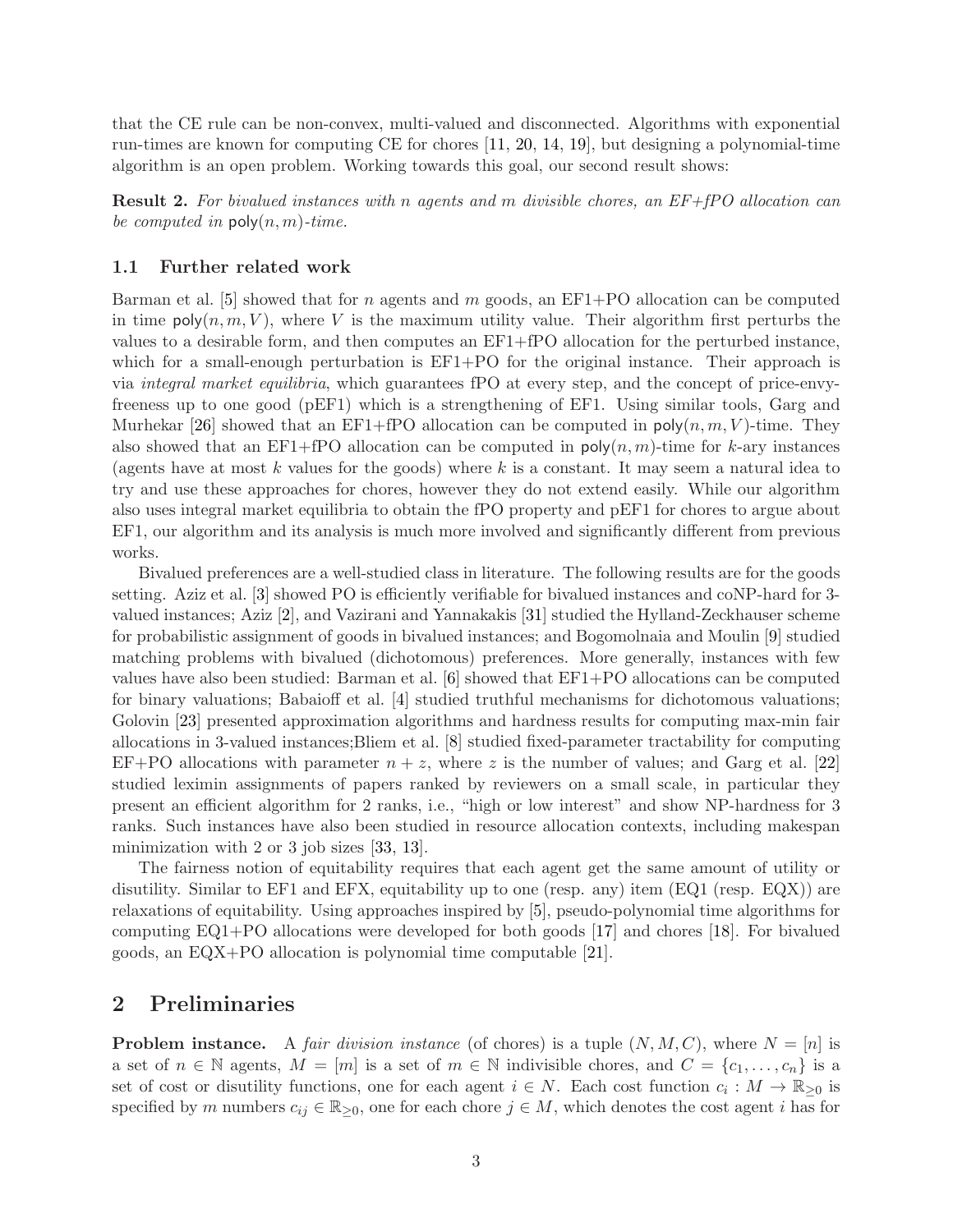that the CE rule can be non-convex, multi-valued and disconnected. Algorithms with exponential run-times are known for computing CE for chores [\[11,](#page-23-6) [20,](#page-23-7) [14,](#page-23-8) [19\]](#page-23-9), but designing a polynomial-time algorithm is an open problem. Working towards this goal, our second result shows:

**Result 2.** For bivalued instances with n agents and m divisible chores, an EF+fPO allocation can be computed in  $\mathsf{poly}(n,m)\text{-}time$ .

### <span id="page-2-0"></span>1.1 Further related work

Barman et al. [\[5\]](#page-22-1) showed that for n agents and m goods, an  $E_1+PO$  allocation can be computed in time  $\mathsf{poly}(n,m,V)$ , where V is the maximum utility value. Their algorithm first perturbs the values to a desirable form, and then computes an EF1+fPO allocation for the perturbed instance, which for a small-enough perturbation is  $E_{1+}PO$  for the original instance. Their approach is via integral market equilibria, which guarantees fPO at every step, and the concept of price-envyfreeness up to one good (pEF1) which is a strengthening of EF1. Using similar tools, Garg and Murhekar [\[26\]](#page-24-2) showed that an EF1+fPO allocation can be computed in  $\text{poly}(n, m, V)$ -time. They also showed that an EF1+fPO allocation can be computed in  $\text{poly}(n, m)$ -time for k-ary instances (agents have at most k values for the goods) where k is a constant. It may seem a natural idea to try and use these approaches for chores, however they do not extend easily. While our algorithm also uses integral market equilibria to obtain the fPO property and pEF1 for chores to argue about EF1, our algorithm and its analysis is much more involved and significantly different from previous works.

Bivalued preferences are a well-studied class in literature. The following results are for the goods setting. Aziz et al. [\[3\]](#page-22-3) showed PO is efficiently verifiable for bivalued instances and coNP-hard for 3 valued instances; Aziz [\[2\]](#page-22-4), and Vazirani and Yannakakis [\[31\]](#page-24-6) studied the Hylland-Zeckhauser scheme for probabilistic assignment of goods in bivalued instances; and Bogomolnaia and Moulin [\[9\]](#page-22-5) studied matching problems with bivalued (dichotomous) preferences. More generally, instances with few values have also been studied: Barman et al. [\[6\]](#page-22-6) showed that EF1+PO allocations can be computed for binary valuations; Babaioff et al. [\[4\]](#page-22-7) studied truthful mechanisms for dichotomous valuations; Golovin [\[23\]](#page-23-10) presented approximation algorithms and hardness results for computing max-min fair allocations in 3-valued instances;Bliem et al. [\[8\]](#page-22-8) studied fixed-parameter tractability for computing EF+PO allocations with parameter  $n + z$ , where z is the number of values; and Garg et al. [\[22\]](#page-23-11) studied leximin assignments of papers ranked by reviewers on a small scale, in particular they present an efficient algorithm for 2 ranks, i.e., "high or low interest" and show NP-hardness for 3 ranks. Such instances have also been studied in resource allocation contexts, including makespan minimization with 2 or 3 job sizes [\[33,](#page-24-7) [13\]](#page-23-12).

The fairness notion of equitability requires that each agent get the same amount of utility or disutility. Similar to EF1 and EFX, equitability up to one (resp. any) item (EQ1 (resp. EQX)) are relaxations of equitability. Using approaches inspired by [\[5\]](#page-22-1), pseudo-polynomial time algorithms for computing EQ1+PO allocations were developed for both goods [\[17\]](#page-23-13) and chores [\[18\]](#page-23-14). For bivalued goods, an EQX+PO allocation is polynomial time computable [\[21\]](#page-23-3).

## <span id="page-2-1"></span>2 Preliminaries

**Problem instance.** A fair division instance (of chores) is a tuple  $(N, M, C)$ , where  $N = [n]$  is a set of  $n \in \mathbb{N}$  agents,  $M = [m]$  is a set of  $m \in \mathbb{N}$  indivisible chores, and  $C = \{c_1, \ldots, c_n\}$  is a set of cost or disutility functions, one for each agent  $i \in N$ . Each cost function  $c_i : M \to \mathbb{R}_{\geq 0}$  is specified by m numbers  $c_{ij} \in \mathbb{R}_{\geq 0}$ , one for each chore  $j \in M$ , which denotes the cost agent i has for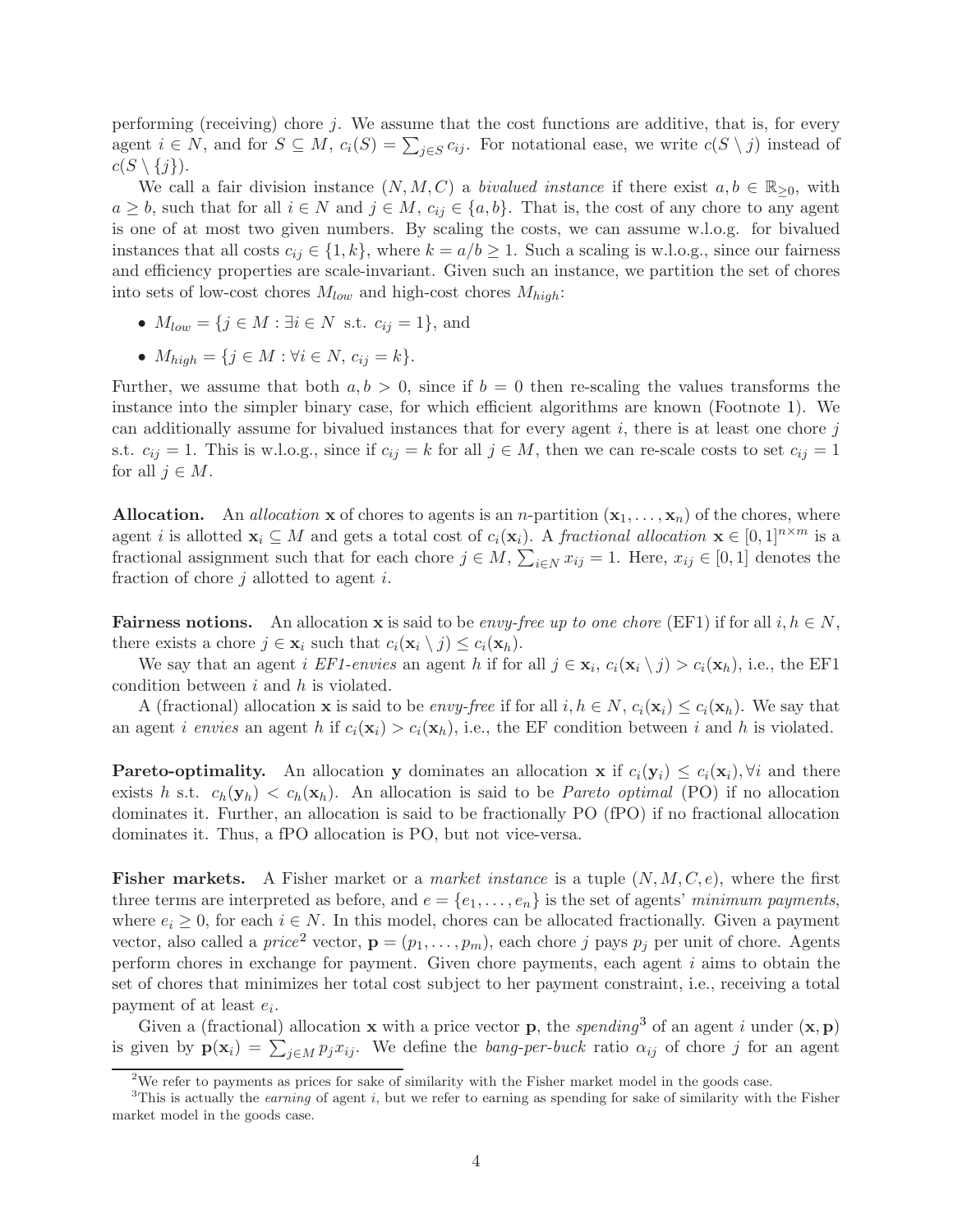performing (receiving) chore  $j$ . We assume that the cost functions are additive, that is, for every agent  $i \in N$ , and for  $S \subseteq M$ ,  $c_i(S) = \sum_{j \in S} c_{ij}$ . For notational ease, we write  $c(S \setminus j)$  instead of  $c(S \setminus \{j\}).$ 

We call a fair division instance  $(N, M, C)$  a *bivalued instance* if there exist  $a, b \in \mathbb{R}_{\geq 0}$ , with  $a \geq b$ , such that for all  $i \in N$  and  $j \in M$ ,  $c_{ij} \in \{a, b\}$ . That is, the cost of any chore to any agent is one of at most two given numbers. By scaling the costs, we can assume w.l.o.g. for bivalued instances that all costs  $c_{ij} \in \{1, k\}$ , where  $k = a/b \ge 1$ . Such a scaling is w.l.o.g., since our fairness and efficiency properties are scale-invariant. Given such an instance, we partition the set of chores into sets of low-cost chores  $M_{low}$  and high-cost chores  $M_{high}$ :

- $M_{low} = \{j \in M : \exists i \in N \text{ s.t. } c_{ij} = 1\},\$  and
- $M_{high} = \{ j \in M : \forall i \in N, c_{ij} = k \}.$

Further, we assume that both  $a, b > 0$ , since if  $b = 0$  then re-scaling the values transforms the instance into the simpler binary case, for which efficient algorithms are known (Footnote [1\)](#page-1-0). We can additionally assume for bivalued instances that for every agent  $i$ , there is at least one chore  $j$ s.t.  $c_{ij} = 1$ . This is w.l.o.g., since if  $c_{ij} = k$  for all  $j \in M$ , then we can re-scale costs to set  $c_{ij} = 1$ for all  $j \in M$ .

**Allocation.** An allocation **x** of chores to agents is an *n*-partition  $(\mathbf{x}_1, \dots, \mathbf{x}_n)$  of the chores, where agent *i* is allotted  $\mathbf{x}_i \subseteq M$  and gets a total cost of  $c_i(\mathbf{x}_i)$ . A *fractional allocation*  $\mathbf{x} \in [0,1]^{n \times m}$  is a fractional assignment such that for each chore  $j \in M$ ,  $\sum_{i \in N} x_{ij} = 1$ . Here,  $x_{ij} \in [0, 1]$  denotes the fraction of chore  $j$  allotted to agent  $i$ .

**Fairness notions.** An allocation **x** is said to be *envy-free up to one chore* (EF1) if for all  $i, h \in N$ , there exists a chore  $j \in \mathbf{x}_i$  such that  $c_i(\mathbf{x}_i \setminus j) \leq c_i(\mathbf{x}_h)$ .

We say that an agent *i* EF1-envies an agent *h* if for all  $j \in \mathbf{x}_i$ ,  $c_i(\mathbf{x}_i \setminus j) > c_i(\mathbf{x}_h)$ , i.e., the EF1 condition between  $i$  and  $h$  is violated.

A (fractional) allocation **x** is said to be envy-free if for all  $i, h \in N$ ,  $c_i(\mathbf{x}_i) \leq c_i(\mathbf{x}_h)$ . We say that an agent i envies an agent h if  $c_i(\mathbf{x}_i) > c_i(\mathbf{x}_h)$ , i.e., the EF condition between i and h is violated.

**Pareto-optimality.** An allocation y dominates an allocation x if  $c_i(\mathbf{y}_i) \leq c_i(\mathbf{x}_i), \forall i$  and there exists h s.t.  $c_h(\mathbf{y}_h) < c_h(\mathbf{x}_h)$ . An allocation is said to be *Pareto optimal* (PO) if no allocation dominates it. Further, an allocation is said to be fractionally PO (fPO) if no fractional allocation dominates it. Thus, a fPO allocation is PO, but not vice-versa.

**Fisher markets.** A Fisher market or a *market instance* is a tuple  $(N, M, C, e)$ , where the first three terms are interpreted as before, and  $e = \{e_1, \ldots, e_n\}$  is the set of agents' minimum payments, where  $e_i \geq 0$ , for each  $i \in N$ . In this model, chores can be allocated fractionally. Given a payment vector, also called a *price*<sup>[2](#page-3-0)</sup> vector,  $\mathbf{p} = (p_1, \ldots, p_m)$ , each chore j pays  $p_j$  per unit of chore. Agents perform chores in exchange for payment. Given chore payments, each agent i aims to obtain the set of chores that minimizes her total cost subject to her payment constraint, i.e., receiving a total payment of at least  $e_i$ .

Given a (fractional) allocation **x** with a price vector **p**, the spending<sup>[3](#page-3-1)</sup> of an agent i under  $(\mathbf{x}, \mathbf{p})$ is given by  $p(x_i) = \sum_{j \in M} p_j x_{ij}$ . We define the *bang-per-buck* ratio  $\alpha_{ij}$  of chore j for an agent

<span id="page-3-0"></span><sup>&</sup>lt;sup>2</sup>We refer to payments as prices for sake of similarity with the Fisher market model in the goods case.

<span id="page-3-1"></span> $3$ This is actually the *earning* of agent i, but we refer to earning as spending for sake of similarity with the Fisher market model in the goods case.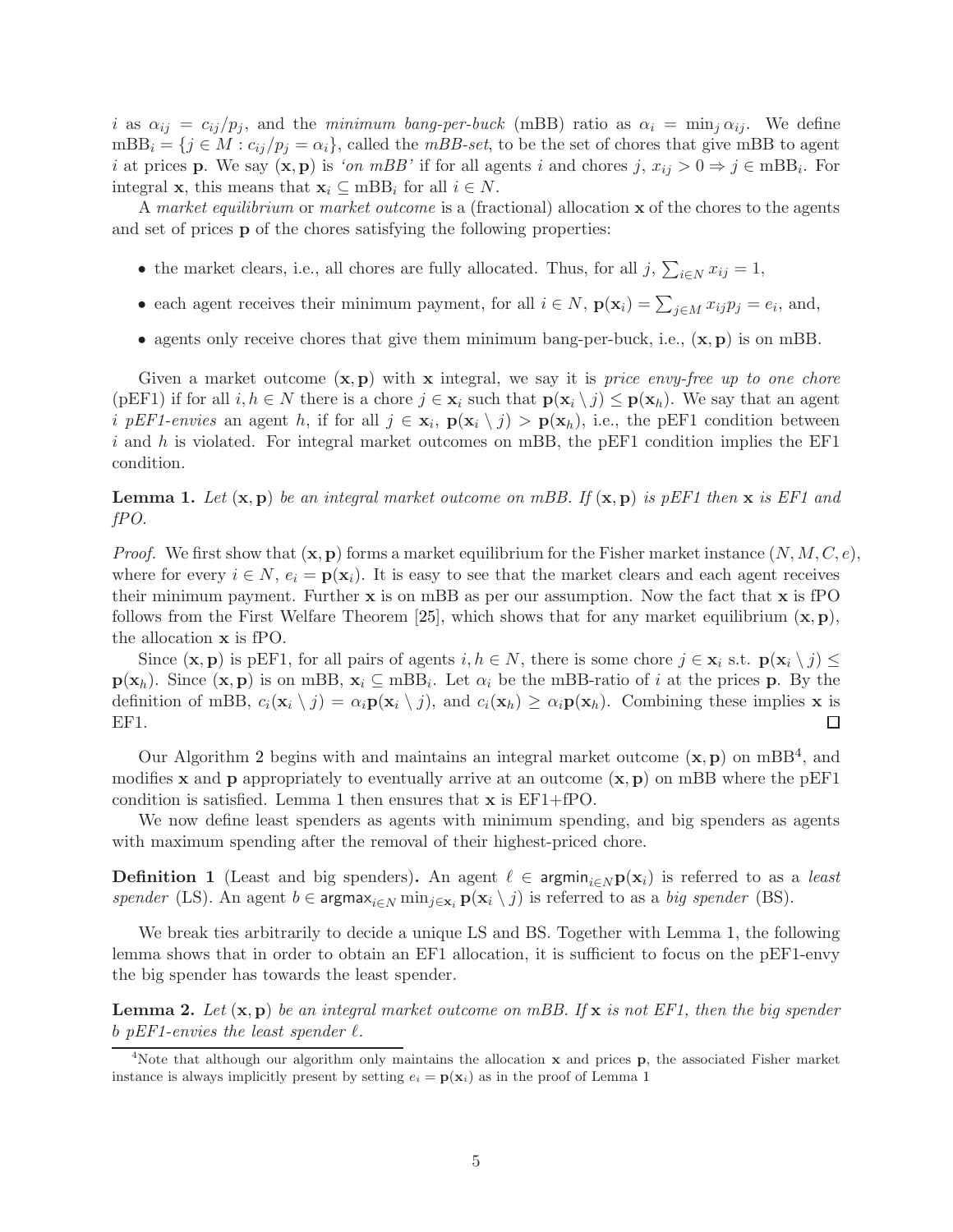i as  $\alpha_{ij} = c_{ij}/p_j$ , and the minimum bang-per-buck (mBB) ratio as  $\alpha_i = \min_j \alpha_{ij}$ . We define  $mBB_i = \{j \in M : c_{ij}/p_j = \alpha_i\}$ , called the  $mBB\text{-}set$ , to be the set of chores that give mBB to agent i at prices **p**. We say  $(x, p)$  is 'on mBB' if for all agents i and chores  $j, x_{ij} > 0 \Rightarrow j \in mBB_i$ . For integral **x**, this means that  $\mathbf{x}_i \subseteq \text{mBB}_i$  for all  $i \in N$ .

A market equilibrium or market outcome is a (fractional) allocation x of the chores to the agents and set of prices p of the chores satisfying the following properties:

- the market clears, i.e., all chores are fully allocated. Thus, for all  $j$ ,  $\sum_{i\in N} x_{ij} = 1$ ,
- each agent receives their minimum payment, for all  $i \in N$ ,  $\mathbf{p}(\mathbf{x}_i) = \sum_{j \in M} x_{ij} p_j = e_i$ , and,
- agents only receive chores that give them minimum bang-per-buck, i.e.,  $(\mathbf{x}, \mathbf{p})$  is on mBB.

Given a market outcome  $(x, p)$  with x integral, we say it is price envy-free up to one chore (pEF1) if for all  $i, h \in N$  there is a chore  $j \in \mathbf{x}_i$  such that  $\mathbf{p}(\mathbf{x}_i \setminus j) \leq \mathbf{p}(\mathbf{x}_h)$ . We say that an agent *i* pEF1-envies an agent h, if for all  $j \in \mathbf{x}_i$ ,  $p(\mathbf{x}_i \setminus j) > p(\mathbf{x}_h)$ , i.e., the pEF1 condition between i and h is violated. For integral market outcomes on mBB, the pEF1 condition implies the EF1 condition.

### <span id="page-4-1"></span>**Lemma 1.** Let  $(\mathbf{x}, \mathbf{p})$  be an integral market outcome on mBB. If  $(\mathbf{x}, \mathbf{p})$  is pEF1 then x is EF1 and fPO.

*Proof.* We first show that  $(x, p)$  forms a market equilibrium for the Fisher market instance  $(N, M, C, e)$ , where for every  $i \in N$ ,  $e_i = \mathbf{p}(\mathbf{x}_i)$ . It is easy to see that the market clears and each agent receives their minimum payment. Further  $x$  is on mBB as per our assumption. Now the fact that  $x$  is fPO follows from the First Welfare Theorem [\[25\]](#page-24-8), which shows that for any market equilibrium  $(x, p)$ , the allocation x is fPO.

Since  $(\mathbf{x}, \mathbf{p})$  is pEF1, for all pairs of agents  $i, h \in N$ , there is some chore  $j \in \mathbf{x}_i$  s.t.  $\mathbf{p}(\mathbf{x}_i \setminus j)$  $\mathbf{p}(\mathbf{x}_h)$ . Since  $(\mathbf{x}, \mathbf{p})$  is on mBB,  $\mathbf{x}_i \subseteq \text{mBB}_i$ . Let  $\alpha_i$  be the mBB-ratio of i at the prices p. By the definition of mBB,  $c_i(\mathbf{x}_i \setminus j) = \alpha_i \mathbf{p}(\mathbf{x}_i \setminus j)$ , and  $c_i(\mathbf{x}_h) \geq \alpha_i \mathbf{p}(\mathbf{x}_h)$ . Combining these implies **x** is EF1.  $\Box$ 

Our Algorithm [2](#page-8-0) begins with and maintains an integral market outcome  $(x, p)$  on mBB<sup>[4](#page-4-0)</sup>, and modifies **x** and **p** appropriately to eventually arrive at an outcome  $(\mathbf{x}, \mathbf{p})$  on mBB where the pEF1 condition is satisfied. Lemma [1](#page-4-1) then ensures that x is EF1+fPO.

We now define least spenders as agents with minimum spending, and big spenders as agents with maximum spending after the removal of their highest-priced chore.

**Definition 1** (Least and big spenders). An agent  $\ell \in \text{argmin}_{i \in N} p(x_i)$  is referred to as a least spender (LS). An agent  $b \in \text{argmax}_{i \in N} \min_{j \in \mathbf{x}_i} \mathbf{p}(\mathbf{x}_i \setminus j)$  is referred to as a big spender (BS).

We break ties arbitrarily to decide a unique LS and BS. Together with Lemma [1,](#page-4-1) the following lemma shows that in order to obtain an EF1 allocation, it is sufficient to focus on the pEF1-envy the big spender has towards the least spender.

<span id="page-4-2"></span>**Lemma 2.** Let  $(x, p)$  be an integral market outcome on mBB. If x is not EF1, then the big spender b pEF1-envies the least spender  $\ell$ .

<span id="page-4-0"></span><sup>&</sup>lt;sup>4</sup>Note that although our algorithm only maintains the allocation  $x$  and prices  $p$ , the associated Fisher market instance is always implicitly present by setting  $e_i = \mathbf{p}(\mathbf{x}_i)$  as in the proof of Lemma [1](#page-4-1)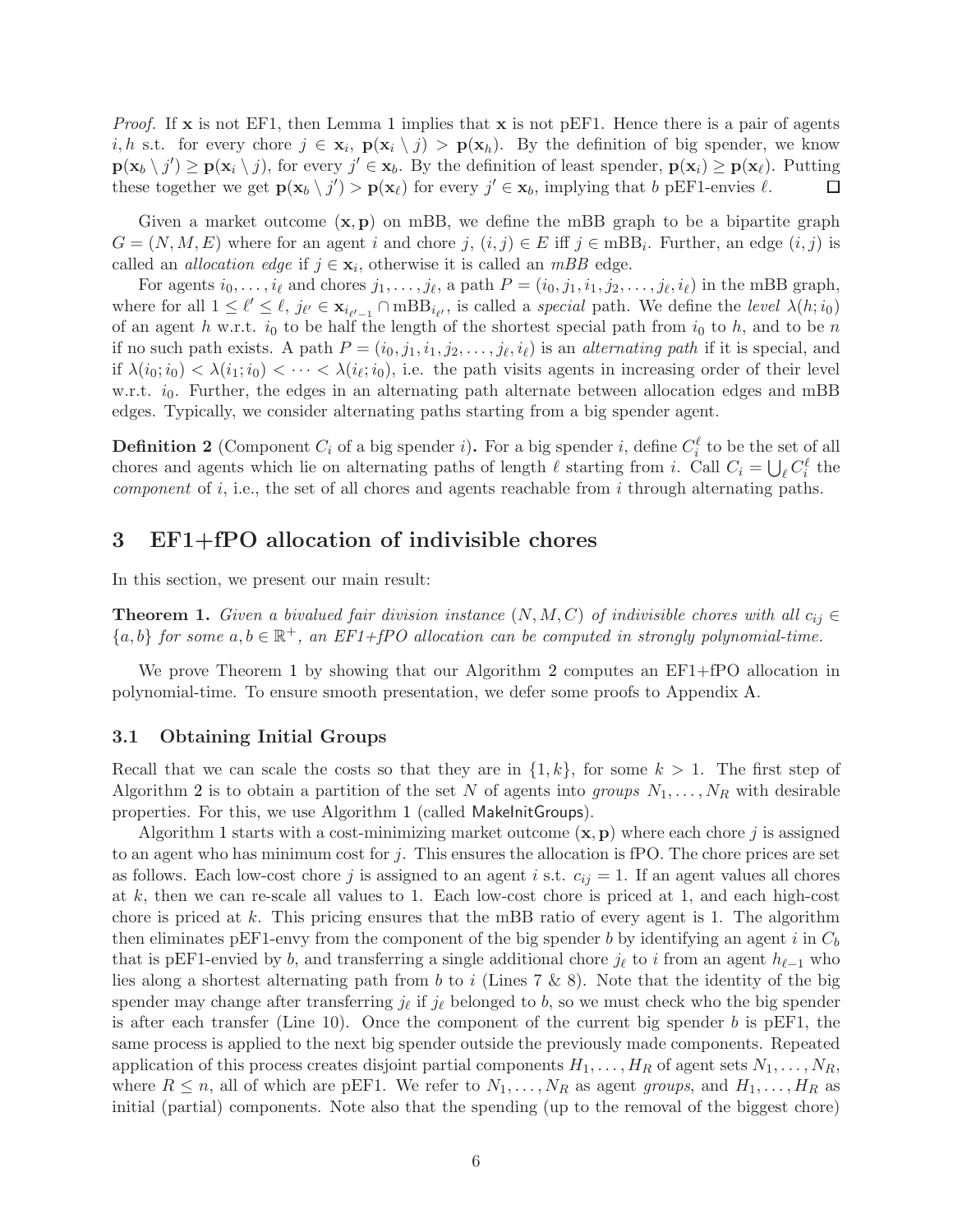*Proof.* If  $\bf{x}$  is not EF[1](#page-4-1), then Lemma 1 implies that  $\bf{x}$  is not pEF1. Hence there is a pair of agents i, h s.t. for every chore  $j \in \mathbf{x}_i$ ,  $p(\mathbf{x}_i \setminus j) > p(\mathbf{x}_h)$ . By the definition of big spender, we know  $\mathbf{p}(\mathbf{x}_b \setminus j') \ge \mathbf{p}(\mathbf{x}_i \setminus j)$ , for every  $j' \in \mathbf{x}_b$ . By the definition of least spender,  $\mathbf{p}(\mathbf{x}_i) \ge \mathbf{p}(\mathbf{x}_\ell)$ . Putting these together we get  $\mathbf{p}(\mathbf{x}_b \setminus j') > \mathbf{p}(\mathbf{x}_\ell)$  for every  $j' \in \mathbf{x}_b$ , implying that b pEF1-envies  $\ell$ .  $\Box$ 

Given a market outcome  $(x, p)$  on mBB, we define the mBB graph to be a bipartite graph  $G = (N, M, E)$  where for an agent i and chore  $j, (i, j) \in E$  iff  $j \in mBB_i$ . Further, an edge  $(i, j)$  is called an *allocation edge* if  $j \in \mathbf{x}_i$ , otherwise it is called an *mBB* edge.

For agents  $i_0, \ldots, i_\ell$  and chores  $j_1, \ldots, j_\ell$ , a path  $P = (i_0, j_1, i_1, j_2, \ldots, j_\ell, i_\ell)$  in the mBB graph, where for all  $1 \leq \ell' \leq \ell$ ,  $j_{\ell'} \in \mathbf{x}_{i_{\ell'-1}} \cap \text{mBB}_{i_{\ell'}}$ , is called a *special* path. We define the *level*  $\lambda(h; i_0)$ of an agent h w.r.t.  $i_0$  to be half the length of the shortest special path from  $i_0$  to h, and to be n if no such path exists. A path  $P = (i_0, j_1, i_1, j_2, \dots, j_\ell, i_\ell)$  is an *alternating path* if it is special, and if  $\lambda(i_0, i_0) < \lambda(i_1, i_0) < \cdots < \lambda(i_\ell; i_0)$ , i.e. the path visits agents in increasing order of their level w.r.t.  $i_0$ . Further, the edges in an alternating path alternate between allocation edges and mBB edges. Typically, we consider alternating paths starting from a big spender agent.

<span id="page-5-1"></span>**Definition 2** (Component  $C_i$  of a big spender i). For a big spender i, define  $C_i^{\ell}$  to be the set of all chores and agents which lie on alternating paths of length  $\ell$  starting from i. Call  $C_i = \bigcup_{\ell} C_i^{\ell}$  the *component* of  $i$ , i.e., the set of all chores and agents reachable from  $i$  through alternating paths.

## <span id="page-5-2"></span>3 EF1+fPO allocation of indivisible chores

In this section, we present our main result:

<span id="page-5-0"></span>**Theorem 1.** Given a bivalued fair division instance  $(N, M, C)$  of indivisible chores with all  $c_{ij} \in$  ${a,b}$  for some  $a,b \in \mathbb{R}^+$ , an EF1+fPO allocation can be computed in strongly polynomial-time.

We prove Theorem [1](#page-5-0) by showing that our Algorithm [2](#page-8-0) computes an EF1+fPO allocation in polynomial-time. To ensure smooth presentation, we defer some proofs to Appendix [A.](#page-18-0)

### 3.1 Obtaining Initial Groups

Recall that we can scale the costs so that they are in  $\{1,k\}$ , for some  $k > 1$ . The first step of Algorithm [2](#page-8-0) is to obtain a partition of the set N of agents into groups  $N_1, \ldots, N_R$  with desirable properties. For this, we use Algorithm [1](#page-6-0) (called MakeInitGroups).

Algorithm [1](#page-6-0) starts with a cost-minimizing market outcome  $(x, p)$  where each chore j is assigned to an agent who has minimum cost for  $j$ . This ensures the allocation is fPO. The chore prices are set as follows. Each low-cost chore j is assigned to an agent i s.t.  $c_{ij} = 1$ . If an agent values all chores at k, then we can re-scale all values to 1. Each low-cost chore is priced at 1, and each high-cost chore is priced at k. This pricing ensures that the mBB ratio of every agent is 1. The algorithm then eliminates pEF1-envy from the component of the big spender b by identifying an agent i in  $C<sub>b</sub>$ that is pEF1-envied by b, and transferring a single additional chore  $j_{\ell}$  to i from an agent  $h_{\ell-1}$  who lies along a shortest alternating path from b to i (Lines 7 & 8). Note that the identity of the big spender may change after transferring  $j_{\ell}$  if  $j_{\ell}$  belonged to b, so we must check who the big spender is after each transfer (Line 10). Once the component of the current big spender  $b$  is pEF1, the same process is applied to the next big spender outside the previously made components. Repeated application of this process creates disjoint partial components  $H_1, \ldots, H_R$  of agent sets  $N_1, \ldots, N_R$ , where  $R \le n$ , all of which are pEF1. We refer to  $N_1, \ldots, N_R$  as agent groups, and  $H_1, \ldots, H_R$  as initial (partial) components. Note also that the spending (up to the removal of the biggest chore)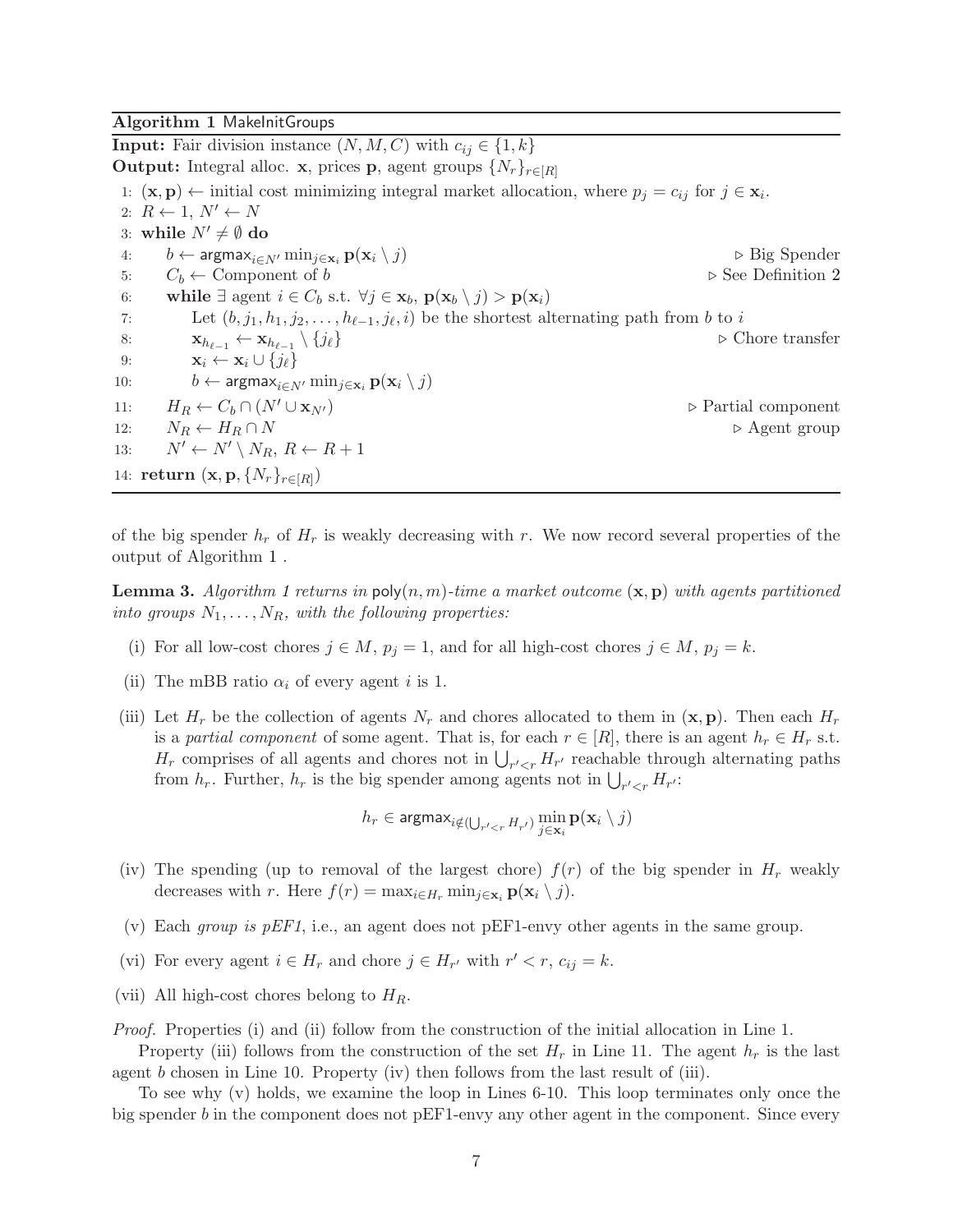<span id="page-6-0"></span>Algorithm 1 MakelnitGroups

**Input:** Fair division instance  $(N, M, C)$  with  $c_{ij} \in \{1, k\}$ **Output:** Integral alloc. **x**, prices **p**, agent groups  $\{N_r\}_{r \in [R]}$ 1:  $(\mathbf{x}, \mathbf{p}) \leftarrow$  initial cost minimizing integral market allocation, where  $p_j = c_{ij}$  for  $j \in \mathbf{x}_i$ . 2:  $R \leftarrow 1, N' \leftarrow N$ 3: while  $N' \neq \emptyset$  do 4:  $b \leftarrow \text{argmax}_{i \in N'} \min_{j \in \mathbf{x}_i} \mathbf{p}(\mathbf{x}_i \setminus j)$  ⊳ Big Spender 5:  $C_b \leftarrow$  Component of b  $\triangleright$  See Definition [2](#page-5-1) 6: while  $\exists$  agent  $i \in C_b$  s.t.  $\forall j \in \mathbf{x}_b, \, \mathbf{p}(\mathbf{x}_b \setminus j) > \mathbf{p}(\mathbf{x}_i)$ 7: Let  $(b, j_1, h_1, j_2, \ldots, h_{\ell-1}, j_{\ell}, i)$  be the shortest alternating path from b to i 8:  $\mathbf{x}_{h_{\ell-1}} \leftarrow \mathbf{x}_{h_{\ell-1}} \setminus \{j_{\ell}\}\$ \ {jℓ} ⊲ Chore transfer 9:  $\mathbf{x}_i \leftarrow \mathbf{x}_i \cup \{j_\ell\}$ 10:  $b \leftarrow \text{argmax}_{i \in N'} \min_{j \in \mathbf{x}_i} \mathbf{p}(\mathbf{x}_i \setminus j)$ 11:  $H_R \leftarrow C_b \cap (N' \cup \mathbf{x}_{N'})$   $\triangleright$  Partial component 12:  $N_R \leftarrow H_R \cap N$   $\triangleright$  Agent group 13:  $N' \leftarrow N' \setminus N_R, R \leftarrow R + 1$ 14:  $\mathbf{return} \ (\mathbf{x}, \mathbf{p}, \{N_r\}_{r \in [R]})$ 

of the big spender  $h_r$  of  $H_r$  is weakly decreasing with r. We now record several properties of the output of Algorithm [1](#page-6-0) .

<span id="page-6-1"></span>**Lemma 3.** Algorithm [1](#page-6-0) returns in poly $(n, m)$ -time a market outcome  $(\mathbf{x}, \mathbf{p})$  with agents partitioned into groups  $N_1, \ldots, N_R$ , with the following properties:

- (i) For all low-cost chores  $j \in M$ ,  $p_j = 1$ , and for all high-cost chores  $j \in M$ ,  $p_j = k$ .
- (ii) The mBB ratio  $\alpha_i$  of every agent i is 1.
- (iii) Let  $H_r$  be the collection of agents  $N_r$  and chores allocated to them in  $(\mathbf{x}, \mathbf{p})$ . Then each  $H_r$ is a partial component of some agent. That is, for each  $r \in [R]$ , there is an agent  $h_r \in H_r$  s.t.  $H_r$  comprises of all agents and chores not in  $\bigcup_{r' < r} H_{r'}$  reachable through alternating paths from  $h_r$ . Further,  $h_r$  is the big spender among agents not in  $\bigcup_{r' < r} H_{r'}$ .

$$
h_r \in \text{argmax}_{i \notin (\bigcup_{r' < r} H_{r'})} \min_{j \in \mathbf{x}_i} \textbf{p}(\mathbf{x}_i \setminus j)
$$

- (iv) The spending (up to removal of the largest chore)  $f(r)$  of the big spender in  $H_r$  weakly decreases with r. Here  $f(r) = \max_{i \in H_r} \min_{j \in \mathbf{x}_i} \mathbf{p}(\mathbf{x}_i \setminus j).$
- (v) Each *group is pEF1*, i.e., an agent does not pEF1-envy other agents in the same group.
- (vi) For every agent  $i \in H_r$  and chore  $j \in H_{r'}$  with  $r' < r$ ,  $c_{ij} = k$ .
- (vii) All high-cost chores belong to  $H_R$ .

Proof. Properties (i) and (ii) follow from the construction of the initial allocation in Line 1.

Property (iii) follows from the construction of the set  $H_r$  in Line 11. The agent  $h_r$  is the last agent  $b$  chosen in Line 10. Property (iv) then follows from the last result of (iii).

To see why (v) holds, we examine the loop in Lines 6-10. This loop terminates only once the big spender b in the component does not pEF1-envy any other agent in the component. Since every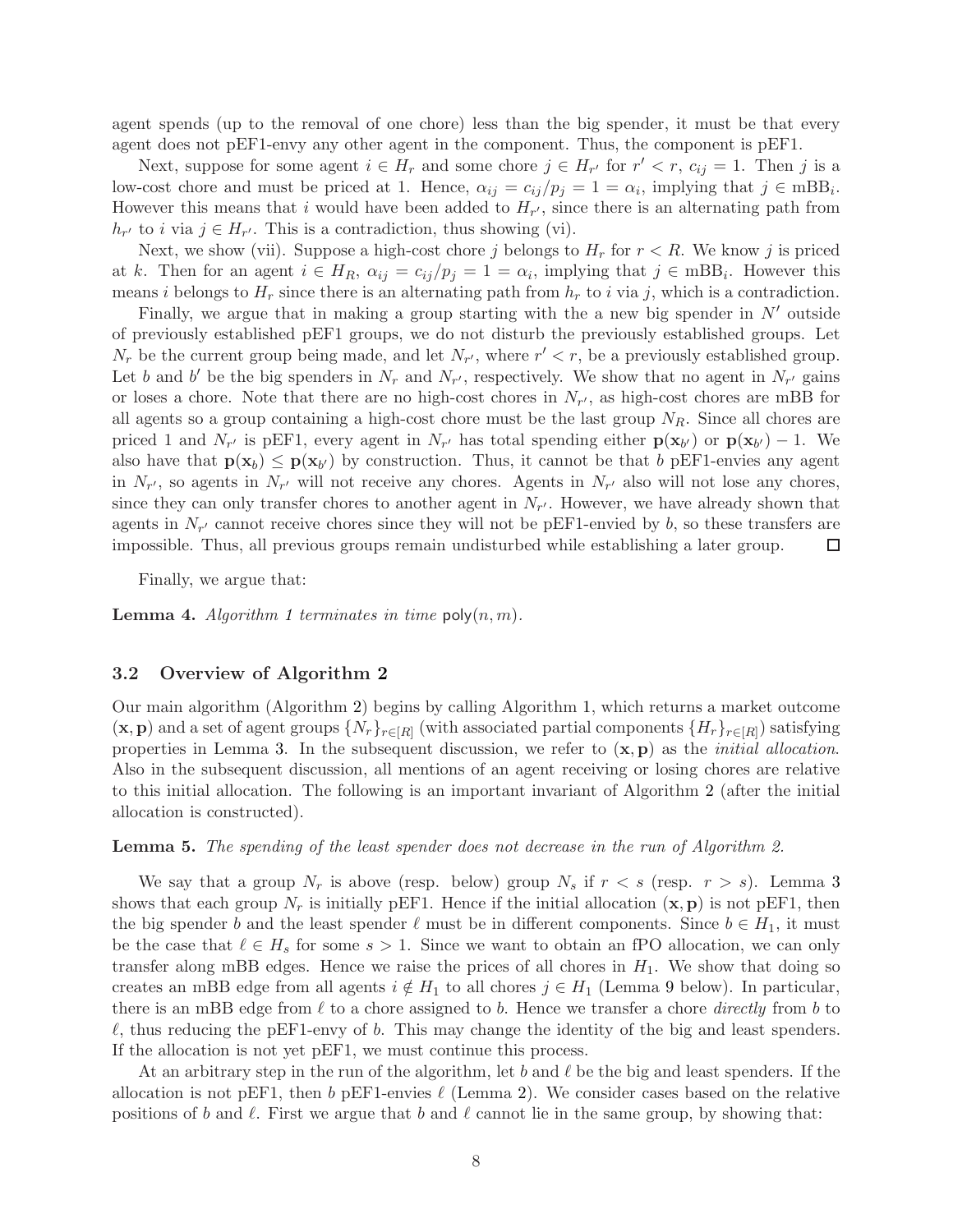agent spends (up to the removal of one chore) less than the big spender, it must be that every agent does not pEF1-envy any other agent in the component. Thus, the component is pEF1.

Next, suppose for some agent  $i \in H_r$  and some chore  $j \in H_{r'}$  for  $r' < r$ ,  $c_{ij} = 1$ . Then j is a low-cost chore and must be priced at 1. Hence,  $\alpha_{ij} = c_{ij}/p_j = 1 = \alpha_i$ , implying that  $j \in mBB_i$ . However this means that i would have been added to  $H_{r'}$ , since there is an alternating path from  $h_{r'}$  to *i* via  $j \in H_{r'}$ . This is a contradiction, thus showing (vi).

Next, we show (vii). Suppose a high-cost chore j belongs to  $H_r$  for  $r < R$ . We know j is priced at k. Then for an agent  $i \in H_R$ ,  $\alpha_{ij} = c_{ij}/p_j = 1 = \alpha_i$ , implying that  $j \in mBB_i$ . However this means i belongs to  $H_r$  since there is an alternating path from  $h_r$  to i via j, which is a contradiction.

Finally, we argue that in making a group starting with the a new big spender in  $N'$  outside of previously established pEF1 groups, we do not disturb the previously established groups. Let  $N_r$  be the current group being made, and let  $N_{r'}$ , where  $r' < r$ , be a previously established group. Let b and b' be the big spenders in  $N_r$  and  $N_{r'}$ , respectively. We show that no agent in  $N_{r'}$  gains or loses a chore. Note that there are no high-cost chores in  $N_{r'}$ , as high-cost chores are mBB for all agents so a group containing a high-cost chore must be the last group  $N_R$ . Since all chores are priced 1 and  $N_{r'}$  is pEF1, every agent in  $N_{r'}$  has total spending either  $p(\mathbf{x}_{b'})$  or  $p(\mathbf{x}_{b'}) - 1$ . We also have that  $p(x_b) \leq p(x_{b'})$  by construction. Thus, it cannot be that b pEF1-envies any agent in  $N_{r'}$ , so agents in  $N_{r'}$  will not receive any chores. Agents in  $N_{r'}$  also will not lose any chores, since they can only transfer chores to another agent in  $N_{r'}$ . However, we have already shown that agents in  $N_{r'}$  cannot receive chores since they will not be pEF1-envied by b, so these transfers are impossible. Thus, all previous groups remain undisturbed while establishing a later group.  $\Box$ 

Finally, we argue that:

<span id="page-7-0"></span>**Lemma 4.** Algorithm [1](#page-6-0) terminates in time  $\text{poly}(n, m)$ .

#### 3.2 Overview of Algorithm [2](#page-8-0)

Our main algorithm (Algorithm [2\)](#page-8-0) begins by calling Algorithm [1,](#page-6-0) which returns a market outcome  $(\mathbf{x}, \mathbf{p})$  and a set of agent groups  $\{N_r\}_{r \in [R]}$  (with associated partial components  $\{H_r\}_{r \in [R]}$ ) satisfying properties in Lemma [3.](#page-6-1) In the subsequent discussion, we refer to  $(\mathbf{x}, \mathbf{p})$  as the *initial allocation*. Also in the subsequent discussion, all mentions of an agent receiving or losing chores are relative to this initial allocation. The following is an important invariant of Algorithm [2](#page-8-0) (after the initial allocation is constructed).

<span id="page-7-1"></span>Lemma 5. The spending of the least spender does not decrease in the run of Algorithm [2.](#page-8-0)

We say that a group  $N_r$  is above (resp. below) group  $N_s$  if  $r < s$  (resp.  $r > s$ ). Lemma [3](#page-6-1) shows that each group  $N_r$  is initially pEF1. Hence if the initial allocation  $(\mathbf{x}, \mathbf{p})$  is not pEF1, then the big spender b and the least spender  $\ell$  must be in different components. Since  $b \in H_1$ , it must be the case that  $\ell \in H_s$  for some  $s > 1$ . Since we want to obtain an fPO allocation, we can only transfer along mBB edges. Hence we raise the prices of all chores in  $H_1$ . We show that doing so creates an mBB edge from all agents  $i \notin H_1$  to all chores  $j \in H_1$  (Lemma [9](#page-9-0) below). In particular, there is an mBB edge from  $\ell$  to a chore assigned to b. Hence we transfer a chore *directly* from b to  $\ell$ , thus reducing the pEF1-envy of b. This may change the identity of the big and least spenders. If the allocation is not yet pEF1, we must continue this process.

At an arbitrary step in the run of the algorithm, let b and  $\ell$  be the big and least spenders. If the allocation is not pEF1, then b pEF1-envies  $\ell$  (Lemma [2\)](#page-4-2). We consider cases based on the relative positions of b and  $\ell$ . First we argue that b and  $\ell$  cannot lie in the same group, by showing that: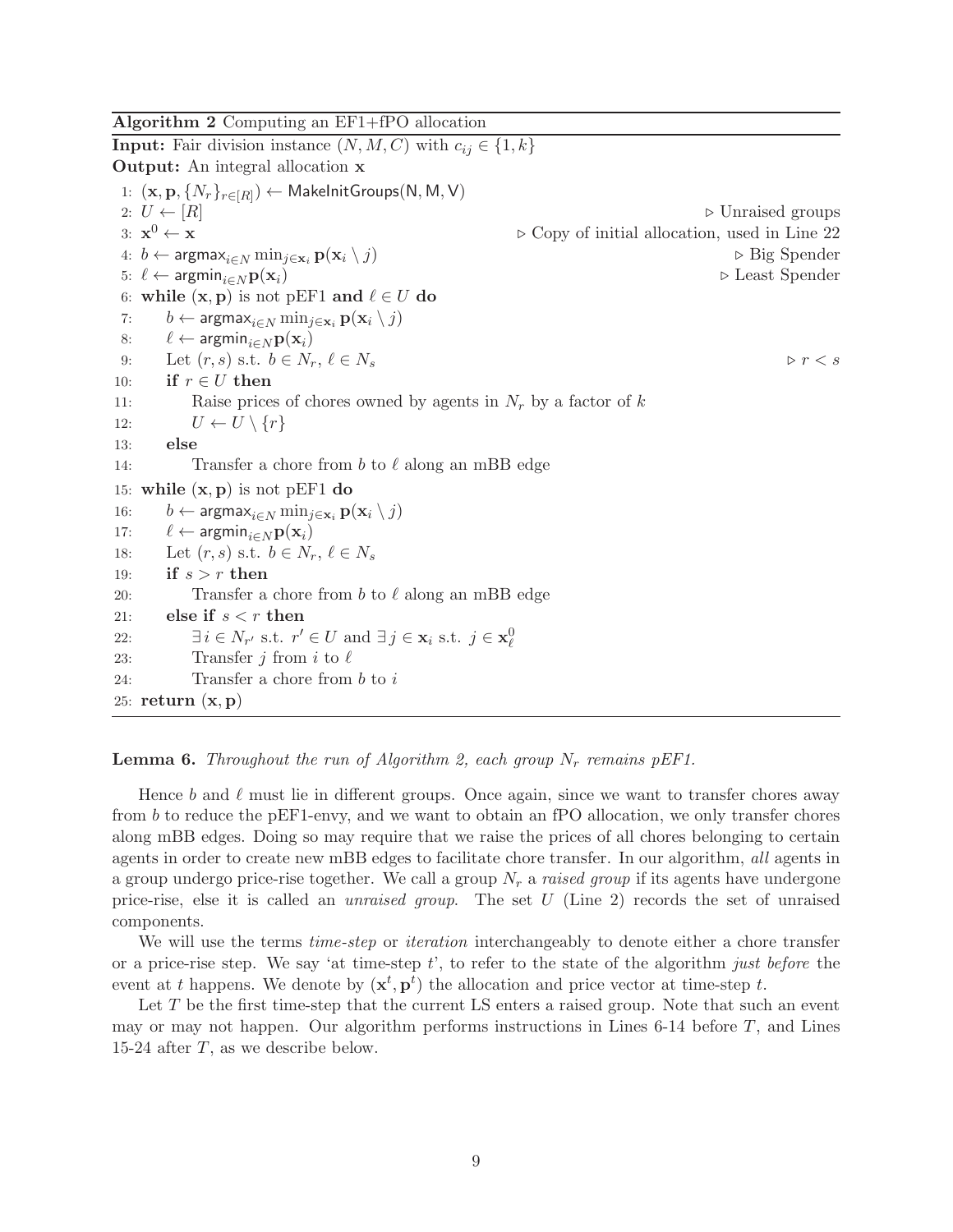<span id="page-8-0"></span>Algorithm 2 Computing an EF1+fPO allocation

**Input:** Fair division instance  $(N, M, C)$  with  $c_{ij} \in \{1, k\}$ Output: An integral allocation x 1:  $(\mathbf{x}, \mathbf{p}, \{N_r\}_{r \in [R]})$  ← MakeInitGroups $(\mathsf{N}, \mathsf{M}, \mathsf{V})$ 2:  $U \leftarrow [R]$   $\triangleright$  Unraised groups 3:  $\mathbf{x}^0 \leftarrow \mathbf{x}$ <sup>0</sup> ← x ⊲ Copy of initial allocation, used in Line 22 4:  $b \leftarrow \text{argmax}_{i \in N} \min_{j \in \mathbf{x}_i} \mathbf{p}(\mathbf{x}_i \setminus j)$  ⊳ Big Spender 5:  $\ell \leftarrow \text{argmin}_{i \in N} \mathbf{p}(\mathbf{x}_i)$  ⇒ Least Spender 6: while  $(x, p)$  is not pEF1 and  $\ell \in U$  do 7:  $b \leftarrow \operatorname{argmax}_{i \in N} \min_{j \in \mathbf{x}_i} \mathbf{p}(\mathbf{x}_i \setminus j)$ 8:  $\ell \leftarrow \text{argmin}_{i \in N} \mathbf{p}(\mathbf{x}_i)$ 9: Let  $(r, s)$  s.t.  $b \in N_r$ ,  $\ell \in N_s$   $\triangleright$   $r < s$ 10: if  $r \in U$  then 11: Raise prices of chores owned by agents in  $N_r$  by a factor of k 12:  $U \leftarrow U \setminus \{r\}$ 13: else 14: Transfer a chore from b to  $\ell$  along an mBB edge 15: while  $(x, p)$  is not pEF1 do 16:  $b \leftarrow \text{argmax}_{i \in N} \min_{j \in \mathbf{x}_i} \mathbf{p}(\mathbf{x}_i \setminus j)$ 17:  $\ell \leftarrow \text{argmin}_{i \in N} \mathbf{p}(\mathbf{x}_i)$ 18: Let  $(r, s)$  s.t.  $b \in N_r$ ,  $\ell \in N_s$ 19: if  $s > r$  then 20: Transfer a chore from b to  $\ell$  along an mBB edge 21: else if  $s < r$  then 22:  $\exists i \in N_{r'} \text{ s.t. } r' \in U \text{ and } \exists j \in \mathbf{x}_i \text{ s.t. } j \in \mathbf{x}_\ell^0$ 23: Transfer *j* from *i* to  $\ell$ 24: Transfer a chore from  $b$  to  $i$ 25: return  $(x, p)$ 

### <span id="page-8-1"></span>**Lemma 6.** Throughout the run of Algorithm [2,](#page-8-0) each group  $N_r$  remains pEF1.

Hence b and  $\ell$  must lie in different groups. Once again, since we want to transfer chores away from b to reduce the pEF1-envy, and we want to obtain an fPO allocation, we only transfer chores along mBB edges. Doing so may require that we raise the prices of all chores belonging to certain agents in order to create new mBB edges to facilitate chore transfer. In our algorithm, all agents in a group undergo price-rise together. We call a group  $N_r$  a raised group if its agents have undergone price-rise, else it is called an unraised group. The set U (Line 2) records the set of unraised components.

We will use the terms *time-step* or *iteration* interchangeably to denote either a chore transfer or a price-rise step. We say 'at time-step  $t'$ , to refer to the state of the algorithm just before the event at t happens. We denote by  $(\mathbf{x}^t, \mathbf{p}^t)$  the allocation and price vector at time-step t.

Let  $T$  be the first time-step that the current LS enters a raised group. Note that such an event may or may not happen. Our algorithm performs instructions in Lines 6-14 before  $T$ , and Lines 15-24 after  $T$ , as we describe below.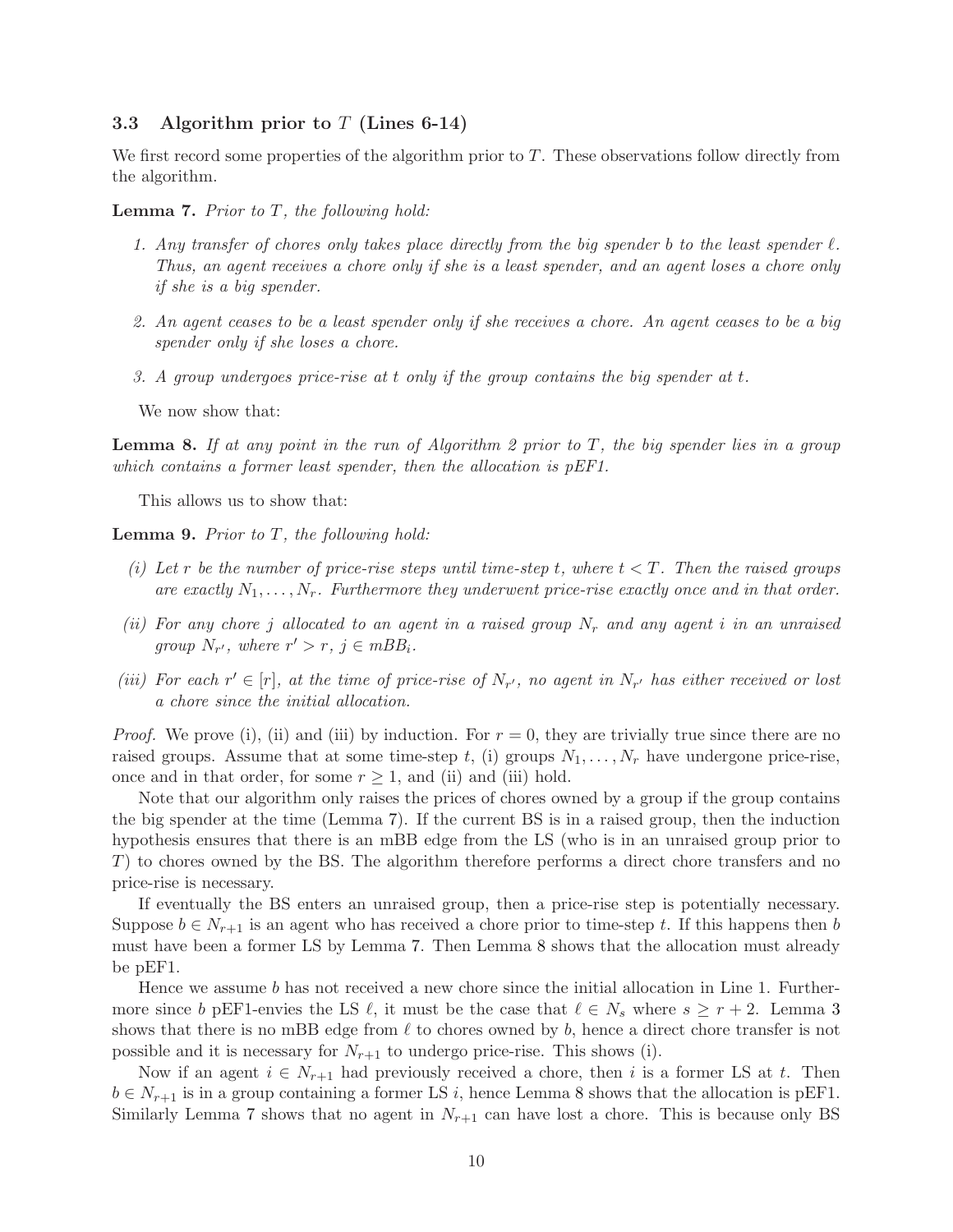### 3.3 Algorithm prior to  $T$  (Lines 6-14)

We first record some properties of the algorithm prior to T. These observations follow directly from the algorithm.

<span id="page-9-1"></span>**Lemma 7.** Prior to  $T$ , the following hold:

- 1. Any transfer of chores only takes place directly from the big spender b to the least spender  $\ell$ . Thus, an agent receives a chore only if she is a least spender, and an agent loses a chore only if she is a big spender.
- 2. An agent ceases to be a least spender only if she receives a chore. An agent ceases to be a big spender only if she loses a chore.
- 3. A group undergoes price-rise at t only if the group contains the big spender at t.

We now show that:

<span id="page-9-2"></span>**Lemma 8.** If at any point in the run of Algorithm [2](#page-8-0) prior to  $T$ , the big spender lies in a group which contains a former least spender, then the allocation is pEF1.

This allows us to show that:

<span id="page-9-0"></span>**Lemma 9.** Prior to  $T$ , the following hold:

- (i) Let r be the number of price-rise steps until time-step t, where  $t < T$ . Then the raised groups are exactly  $N_1, \ldots, N_r$ . Furthermore they underwent price-rise exactly once and in that order.
- (ii) For any chore j allocated to an agent in a raised group  $N_r$  and any agent i in an unraised group  $N_{r'}$ , where  $r' > r$ ,  $j \in mBB_i$ .
- (iii) For each  $r' \in [r]$ , at the time of price-rise of  $N_{r'}$ , no agent in  $N_{r'}$  has either received or lost a chore since the initial allocation.

*Proof.* We prove (i), (ii) and (iii) by induction. For  $r = 0$ , they are trivially true since there are no raised groups. Assume that at some time-step t, (i) groups  $N_1, \ldots, N_r$  have undergone price-rise, once and in that order, for some  $r \geq 1$ , and (ii) and (iii) hold.

Note that our algorithm only raises the prices of chores owned by a group if the group contains the big spender at the time (Lemma [7\)](#page-9-1). If the current BS is in a raised group, then the induction hypothesis ensures that there is an mBB edge from the LS (who is in an unraised group prior to T) to chores owned by the BS. The algorithm therefore performs a direct chore transfers and no price-rise is necessary.

If eventually the BS enters an unraised group, then a price-rise step is potentially necessary. Suppose  $b \in N_{r+1}$  is an agent who has received a chore prior to time-step t. If this happens then b must have been a former LS by Lemma [7.](#page-9-1) Then Lemma [8](#page-9-2) shows that the allocation must already be pEF1.

Hence we assume b has not received a new chore since the initial allocation in Line 1. Furthermore since b pEF1-envies the LS  $\ell$ , it must be the case that  $\ell \in N_s$  where  $s \geq r+2$ . Lemma [3](#page-6-1) shows that there is no mBB edge from  $\ell$  to chores owned by b, hence a direct chore transfer is not possible and it is necessary for  $N_{r+1}$  to undergo price-rise. This shows (i).

Now if an agent  $i \in N_{r+1}$  had previously received a chore, then i is a former LS at t. Then  $b \in N_{r+1}$  is in a group containing a former LS i, hence Lemma [8](#page-9-2) shows that the allocation is pEF1. Similarly Lemma [7](#page-9-1) shows that no agent in  $N_{r+1}$  can have lost a chore. This is because only BS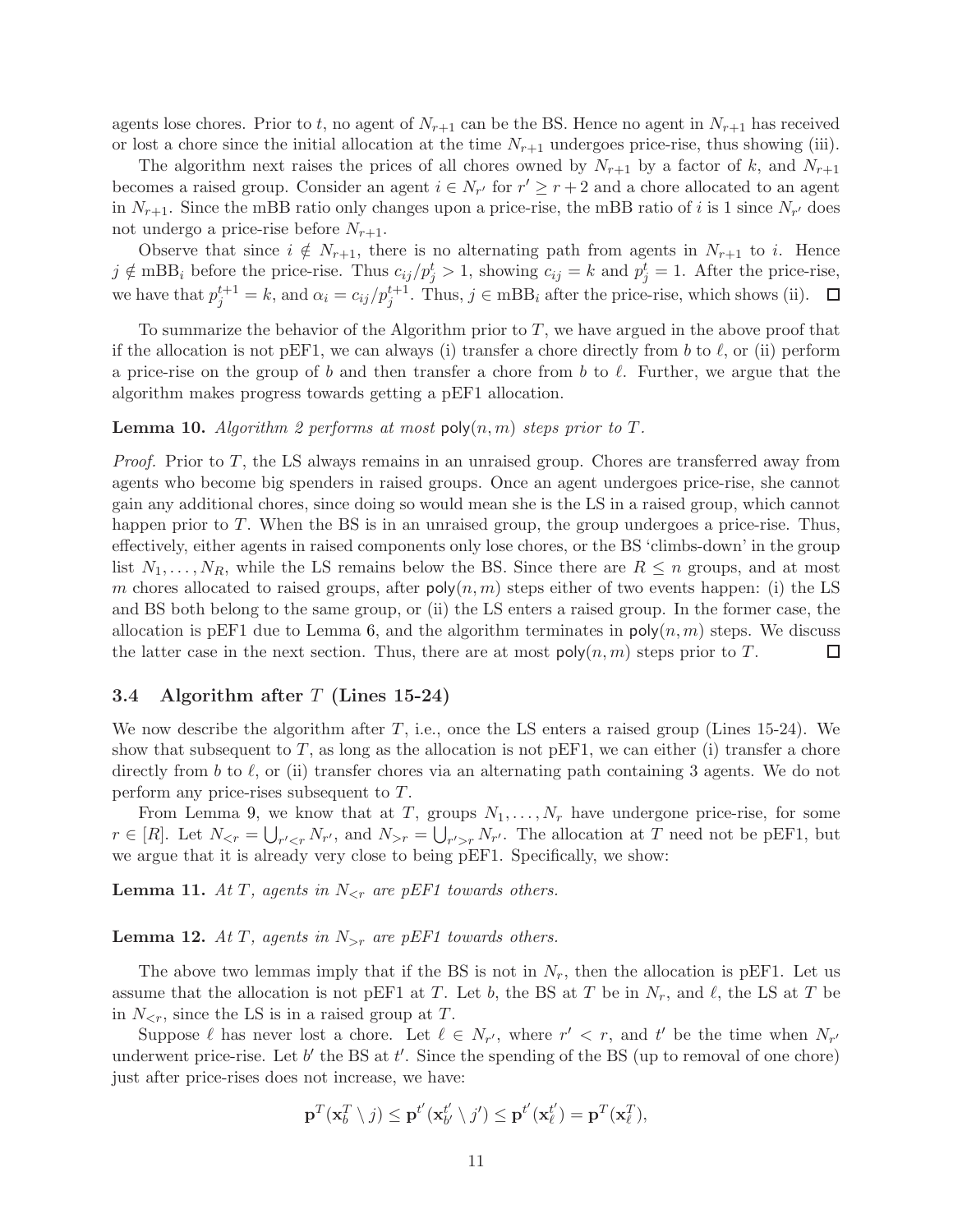agents lose chores. Prior to t, no agent of  $N_{r+1}$  can be the BS. Hence no agent in  $N_{r+1}$  has received or lost a chore since the initial allocation at the time  $N_{r+1}$  undergoes price-rise, thus showing (iii).

The algorithm next raises the prices of all chores owned by  $N_{r+1}$  by a factor of k, and  $N_{r+1}$ becomes a raised group. Consider an agent  $i \in N_{r'}$  for  $r' \geq r+2$  and a chore allocated to an agent in  $N_{r+1}$ . Since the mBB ratio only changes upon a price-rise, the mBB ratio of i is 1 since  $N_{r'}$  does not undergo a price-rise before  $N_{r+1}$ .

Observe that since  $i \notin N_{r+1}$ , there is no alternating path from agents in  $N_{r+1}$  to i. Hence  $j \notin \text{mBB}_i$  before the price-rise. Thus  $c_{ij}/p_j^t > 1$ , showing  $c_{ij} = k$  and  $p_j^t = 1$ . After the price-rise, we have that  $p_j^{t+1} = k$ , and  $\alpha_i = c_{ij}/p_j^{t+1}$ . Thus,  $j \in mBB_i$  after the price-rise, which shows (ii).

To summarize the behavior of the Algorithm prior to  $T$ , we have argued in the above proof that if the allocation is not pEF1, we can always (i) transfer a chore directly from b to  $\ell$ , or (ii) perform a price-rise on the group of b and then transfer a chore from b to  $\ell$ . Further, we argue that the algorithm makes progress towards getting a pEF1 allocation.

### <span id="page-10-0"></span>**Lemma 10.** Algorithm [2](#page-8-0) performs at most  $\text{poly}(n,m)$  steps prior to T.

*Proof.* Prior to  $T$ , the LS always remains in an unraised group. Chores are transferred away from agents who become big spenders in raised groups. Once an agent undergoes price-rise, she cannot gain any additional chores, since doing so would mean she is the LS in a raised group, which cannot happen prior to T. When the BS is in an unraised group, the group undergoes a price-rise. Thus, effectively, either agents in raised components only lose chores, or the BS 'climbs-down' in the group list  $N_1, \ldots, N_R$ , while the LS remains below the BS. Since there are  $R \leq n$  groups, and at most m chores allocated to raised groups, after  $poly(n, m)$  steps either of two events happen: (i) the LS and BS both belong to the same group, or (ii) the LS enters a raised group. In the former case, the allocation is pEF1 due to Lemma [6,](#page-8-1) and the algorithm terminates in  $poly(n, m)$  steps. We discuss the latter case in the next section. Thus, there are at most  $\text{poly}(n, m)$  steps prior to T. □

### <span id="page-10-1"></span>3.4 Algorithm after  $T$  (Lines 15-24)

We now describe the algorithm after  $T$ , i.e., once the LS enters a raised group (Lines 15-24). We show that subsequent to  $T$ , as long as the allocation is not pEF1, we can either (i) transfer a chore directly from b to  $\ell$ , or (ii) transfer chores via an alternating path containing 3 agents. We do not perform any price-rises subsequent to T.

From Lemma [9,](#page-9-0) we know that at T, groups  $N_1, \ldots, N_r$  have undergone price-rise, for some  $r \in [R]$ . Let  $N_{\leq r} = \bigcup_{r' \leq r} N_{r'}$ , and  $N_{>r} = \bigcup_{r' > r} N_{r'}$ . The allocation at T need not be pEF1, but we argue that it is already very close to being pEF1. Specifically, we show:

<span id="page-10-2"></span>**Lemma 11.** At T, agents in  $N_{\leq r}$  are pEF1 towards others.

<span id="page-10-3"></span>**Lemma 12.** At T, agents in  $N_{>r}$  are pEF1 towards others.

The above two lemmas imply that if the BS is not in  $N_r$ , then the allocation is pEF1. Let us assume that the allocation is not pEF1 at T. Let b, the BS at T be in  $N_r$ , and  $\ell$ , the LS at T be in  $N_{\leq r}$ , since the LS is in a raised group at T.

Suppose  $\ell$  has never lost a chore. Let  $\ell \in N_{r'}$ , where  $r' < r$ , and  $t'$  be the time when  $N_{r'}$ underwent price-rise. Let  $b'$  the BS at  $t'$ . Since the spending of the BS (up to removal of one chore) just after price-rises does not increase, we have:

$$
\mathbf{p}^T(\mathbf{x}_{b}^T \setminus j) \leq \mathbf{p}^{t'}(\mathbf{x}_{b'}^{t'} \setminus j') \leq \mathbf{p}^{t'}(\mathbf{x}_{\ell}^{t'}) = \mathbf{p}^T(\mathbf{x}_{\ell}^T),
$$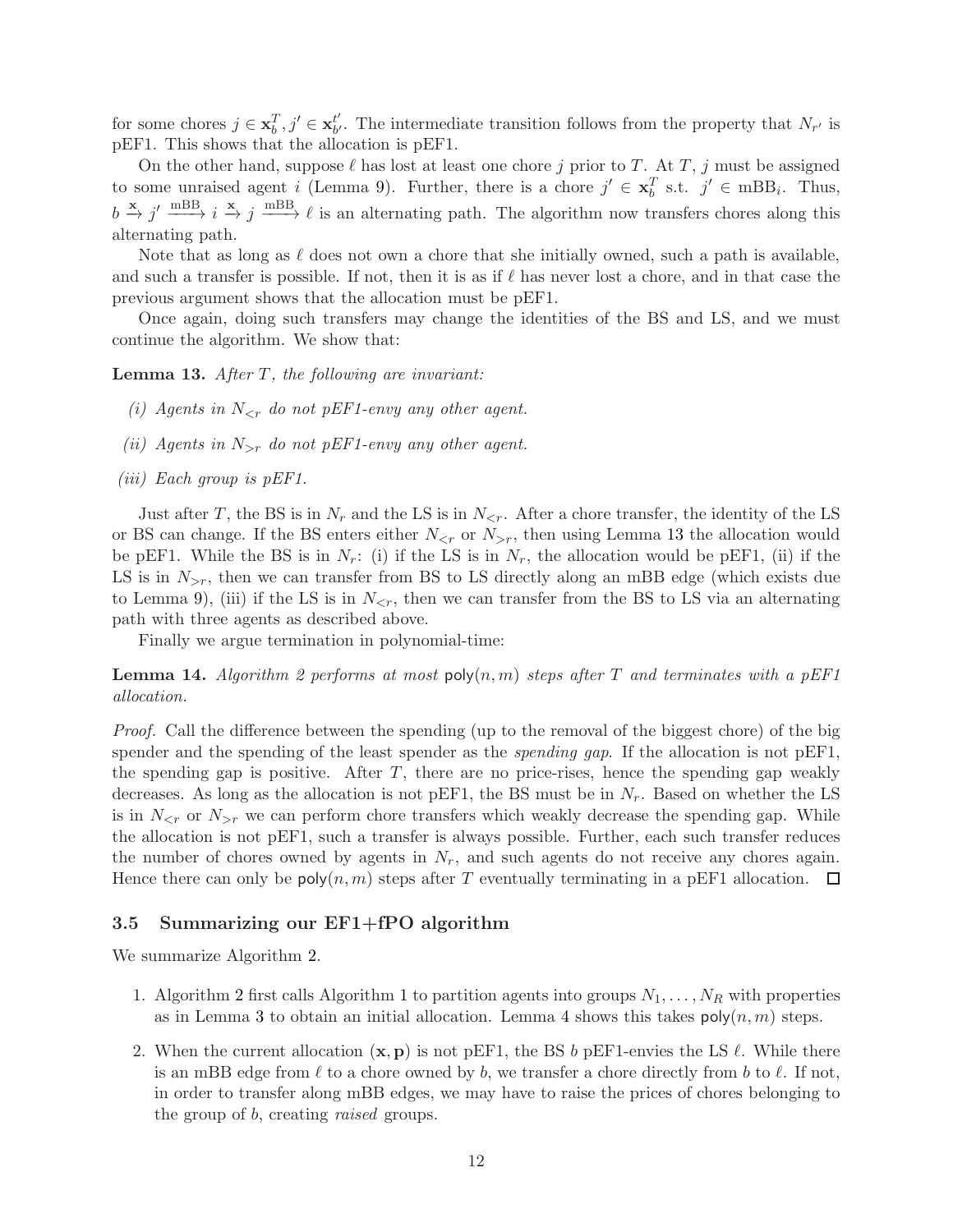for some chores  $j \in \mathbf{x}_b^T, j' \in \mathbf{x}_{b'}^{t'}$  $\mathbf{b}'_b$ . The intermediate transition follows from the property that  $N_{r'}$  is pEF1. This shows that the allocation is pEF1.

On the other hand, suppose  $\ell$  has lost at least one chore j prior to T. At T, j must be assigned to some unraised agent *i* (Lemma [9\)](#page-9-0). Further, there is a chore  $j' \in \mathbf{x}_b^T$  s.t.  $j' \in \text{mBB}_i$ . Thus,  $b \stackrel{\mathbf{x}}{\rightarrow} j' \stackrel{\text{mBB}}{\longrightarrow} i \stackrel{\mathbf{x}}{\rightarrow} j \stackrel{\text{mBB}}{\longrightarrow} \ell$  is an alternating path. The algorithm now transfers chores along this alternating path.

Note that as long as  $\ell$  does not own a chore that she initially owned, such a path is available, and such a transfer is possible. If not, then it is as if  $\ell$  has never lost a chore, and in that case the previous argument shows that the allocation must be pEF1.

Once again, doing such transfers may change the identities of the BS and LS, and we must continue the algorithm. We show that:

<span id="page-11-0"></span>**Lemma 13.** After  $T$ , the following are invariant:

- (i) Agents in  $N_{\leq r}$  do not pEF1-envy any other agent.
- (ii) Agents in  $N_{>r}$  do not pEF1-envy any other agent.
- (iii) Each group is pEF1.

Just after T, the BS is in  $N_r$  and the LS is in  $N_{\leq r}$ . After a chore transfer, the identity of the LS or BS can change. If the BS enters either  $N_{\leq r}$  or  $N_{\geq r}$ , then using Lemma [13](#page-11-0) the allocation would be pEF1. While the BS is in  $N_r$ : (i) if the LS is in  $N_r$ , the allocation would be pEF1, (ii) if the LS is in  $N_{\geq r}$ , then we can transfer from BS to LS directly along an mBB edge (which exists due to Lemma [9\)](#page-9-0), (iii) if the LS is in  $N_{\leq r}$ , then we can transfer from the BS to LS via an alternating path with three agents as described above.

Finally we argue termination in polynomial-time:

<span id="page-11-1"></span>**Lemma 14.** Algorithm [2](#page-8-0) performs at most  $poly(n, m)$  steps after T and terminates with a pEF1 allocation.

Proof. Call the difference between the spending (up to the removal of the biggest chore) of the big spender and the spending of the least spender as the *spending gap*. If the allocation is not pEF1, the spending gap is positive. After  $T$ , there are no price-rises, hence the spending gap weakly decreases. As long as the allocation is not pEF1, the BS must be in  $N_r$ . Based on whether the LS is in  $N_{\leq r}$  or  $N_{\geq r}$  we can perform chore transfers which weakly decrease the spending gap. While the allocation is not pEF1, such a transfer is always possible. Further, each such transfer reduces the number of chores owned by agents in  $N_r$ , and such agents do not receive any chores again. Hence there can only be  $poly(n, m)$  steps after T eventually terminating in a pEF1 allocation.  $\Box$ 

### 3.5 Summarizing our EF1+fPO algorithm

We summarize Algorithm [2.](#page-8-0)

- 1. Algorithm [2](#page-8-0) first calls Algorithm [1](#page-6-0) to partition agents into groups  $N_1, \ldots, N_R$  with properties as in Lemma [3](#page-6-1) to obtain an initial allocation. Lemma [4](#page-7-0) shows this takes  $\text{poly}(n, m)$  steps.
- 2. When the current allocation  $(x, p)$  is not pEF1, the BS b pEF1-envies the LS  $\ell$ . While there is an mBB edge from  $\ell$  to a chore owned by b, we transfer a chore directly from b to  $\ell$ . If not, in order to transfer along mBB edges, we may have to raise the prices of chores belonging to the group of b, creating raised groups.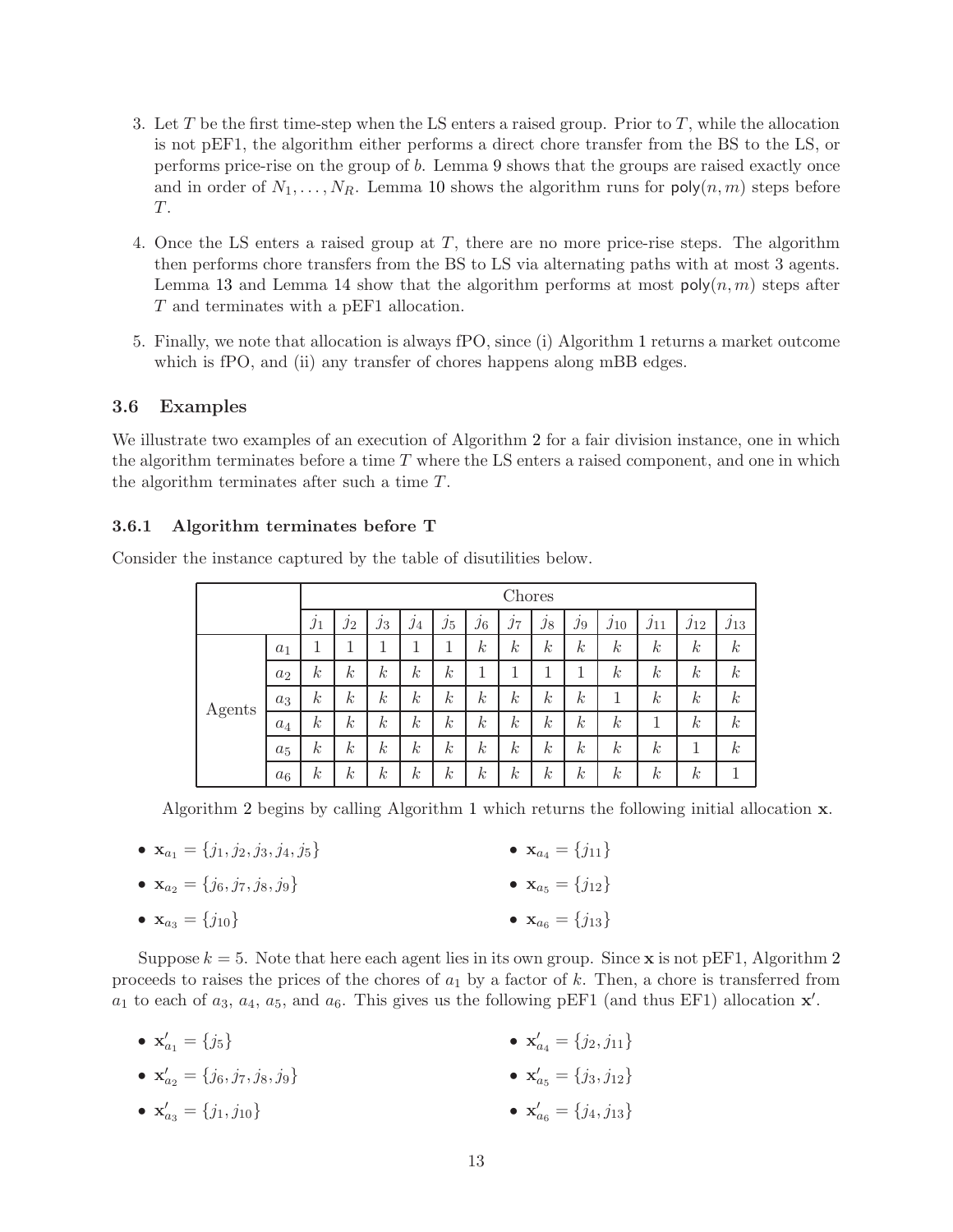- 3. Let T be the first time-step when the LS enters a raised group. Prior to T, while the allocation is not pEF1, the algorithm either performs a direct chore transfer from the BS to the LS, or performs price-rise on the group of b. Lemma [9](#page-9-0) shows that the groups are raised exactly once and in order of  $N_1, \ldots, N_R$ . Lemma [10](#page-10-0) shows the algorithm runs for  $poly(n, m)$  steps before T.
- 4. Once the LS enters a raised group at T, there are no more price-rise steps. The algorithm then performs chore transfers from the BS to LS via alternating paths with at most 3 agents. Lemma [13](#page-11-0) and Lemma [14](#page-11-1) show that the algorithm performs at most  $\text{poly}(n, m)$  steps after T and terminates with a pEF1 allocation.
- 5. Finally, we note that allocation is always fPO, since (i) Algorithm [1](#page-6-0) returns a market outcome which is fPO, and (ii) any transfer of chores happens along mBB edges.

### 3.6 Examples

We illustrate two examples of an execution of Algorithm [2](#page-8-0) for a fair division instance, one in which the algorithm terminates before a time  $T$  where the LS enters a raised component, and one in which the algorithm terminates after such a time T.

### 3.6.1 Algorithm terminates before T

|        |       | Chores           |                  |                  |                  |                    |                  |                  |                  |                  |                  |                  |                        |                  |
|--------|-------|------------------|------------------|------------------|------------------|--------------------|------------------|------------------|------------------|------------------|------------------|------------------|------------------------|------------------|
|        |       | $j_1$            | ٠<br>$j_2$       | ٠<br>$j_3$       | $\mathcal{I}4$   | $\cdot$<br>$j_{5}$ | ٠<br>$j_{6}$     | ٠<br>$j_7$       | ٠<br>$j_{8}$     | $j_9$            | $j_{10}$         | $j_{11}$         | $\jmath$ <sub>12</sub> | $j_{13}$         |
| Agents | $a_1$ | 1                |                  |                  |                  | 1                  | $\boldsymbol{k}$ | $\boldsymbol{k}$ | $\boldsymbol{k}$ | $\boldsymbol{k}$ | $\boldsymbol{k}$ | $\boldsymbol{k}$ | $\boldsymbol{k}$       | $\boldsymbol{k}$ |
|        | $a_2$ | $\boldsymbol{k}$ | $\boldsymbol{k}$ | $\boldsymbol{k}$ | $\boldsymbol{k}$ | $\boldsymbol{k}$   | 1                |                  |                  |                  | $\boldsymbol{k}$ | $\boldsymbol{k}$ | $\boldsymbol{k}$       | $\boldsymbol{k}$ |
|        | $a_3$ | $\boldsymbol{k}$ | $\boldsymbol{k}$ | $\boldsymbol{k}$ | $\boldsymbol{k}$ | $\boldsymbol{k}$   | $\boldsymbol{k}$ | $\boldsymbol{k}$ | $\boldsymbol{k}$ | $\boldsymbol{k}$ | 1                | $\boldsymbol{k}$ | $\boldsymbol{k}$       | $\boldsymbol{k}$ |
|        | $a_4$ | $\boldsymbol{k}$ | $\boldsymbol{k}$ | $\boldsymbol{k}$ | $\boldsymbol{k}$ | $\boldsymbol{k}$   | $\boldsymbol{k}$ | $\boldsymbol{k}$ | $\boldsymbol{k}$ | $\boldsymbol{k}$ | $\boldsymbol{k}$ | 1                | $\boldsymbol{k}$       | $\boldsymbol{k}$ |
|        | $a_5$ | $\boldsymbol{k}$ | $\boldsymbol{k}$ | $\boldsymbol{k}$ | $\boldsymbol{k}$ | $\boldsymbol{k}$   | $\boldsymbol{k}$ | $\boldsymbol{k}$ | $\boldsymbol{k}$ | $\boldsymbol{k}$ | $\boldsymbol{k}$ | $\boldsymbol{k}$ |                        | $\boldsymbol{k}$ |
|        | $a_6$ | $\boldsymbol{k}$ | $\boldsymbol{k}$ | $\boldsymbol{k}$ | $\boldsymbol{k}$ | $\boldsymbol{k}$   | $\boldsymbol{k}$ | $\boldsymbol{k}$ | $\boldsymbol{k}$ | $\boldsymbol{k}$ | $\boldsymbol{k}$ | $\boldsymbol{k}$ | $\boldsymbol{k}$       |                  |

Consider the instance captured by the table of disutilities below.

Algorithm [2](#page-8-0) begins by calling Algorithm [1](#page-6-0) which returns the following initial allocation x.

•  $\mathbf{x}_{a_1} = \{j_1, j_2, j_3, j_4, j_5\}$ •  $\mathbf{x}_{a_2} = \{j_6, j_7, j_8, j_9\}$ •  $\mathbf{x}_{a_3} = \{j_{10}\}\$ •  $\mathbf{x}_{a_4} = \{j_{11}\}\$ •  $\mathbf{x}_{a5} = \{j_{12}\}\$ •  $\mathbf{x}_{a_6} = \{j_{13}\}\$ 

Suppose  $k = 5$ . Note that here each agent lies in its own group. Since x is not pEF1, Algorithm [2](#page-8-0) proceeds to raises the prices of the chores of  $a_1$  by a factor of k. Then, a chore is transferred from  $a_1$  to each of  $a_3$ ,  $a_4$ ,  $a_5$ , and  $a_6$ . This gives us the following pEF1 (and thus EF1) allocation  $\mathbf{x}'$ .

- $\mathbf{x}'_{a_1} = \{j_5\}$ •  $\mathbf{x}'_{a_4} = \{j_2, j_{11}\}\$
- $\mathbf{x}'_{a_2} = \{j_6, j_7, j_8, j_9\}$ •  $\mathbf{x}'_{a_5} = \{j_3, j_{12}\}\$

• 
$$
\mathbf{x}'_{a_3} = \{j_1, j_{10}\}
$$
 •  $\mathbf{x}'_{a_6} = \{j_4, j_{13}\}$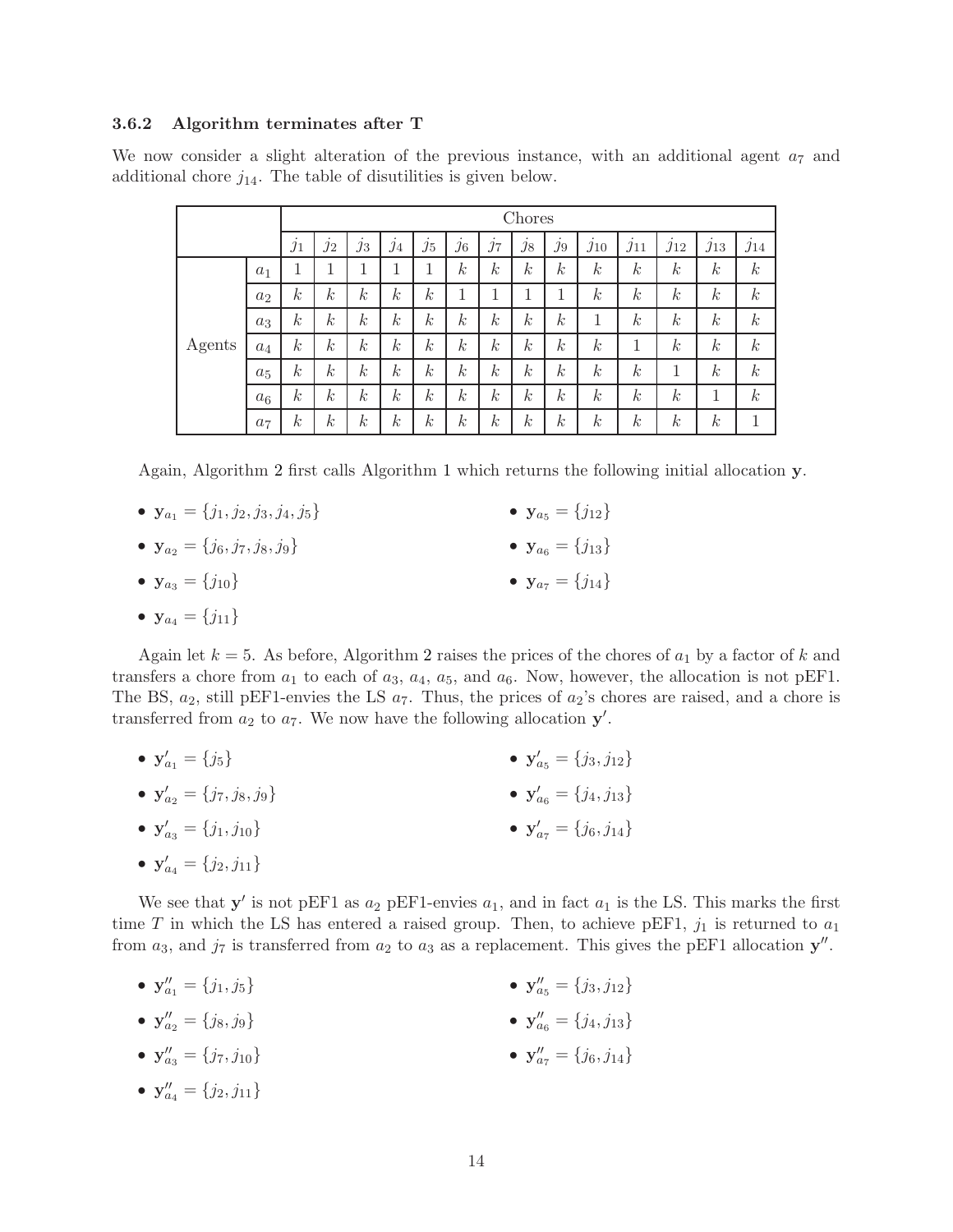### 3.6.2 Algorithm terminates after T

We now consider a slight alteration of the previous instance, with an additional agent  $a_7$  and additional chore  $j_{14}$ . The table of disutilities is given below.

|        |                |                  | Chores           |                  |                  |                  |                  |                  |                  |                  |                  |                  |                  |                  |                  |
|--------|----------------|------------------|------------------|------------------|------------------|------------------|------------------|------------------|------------------|------------------|------------------|------------------|------------------|------------------|------------------|
|        |                | $\jmath_1$       | ٠<br>$\jmath_2$  | ٠<br>$\jmath_3$  | $\mathcal{I}4$   | ٠<br>$\jmath_5$  | $j_6$            | ٠<br>$j_7$       | ٠<br>$j_8$       | ٠<br>$j_9$       | $j_{10}$         | $j_{11}$         | $j_{12}$         | $j_{13}$         | $J_{14}$         |
| Agents | $a_1$          | 1<br>┸           | 1<br>⊥           | 1                | 1                | 1                | $\boldsymbol{k}$ | $\boldsymbol{k}$ | $\boldsymbol{k}$ | $\boldsymbol{k}$ | $\boldsymbol{k}$ | $\boldsymbol{k}$ | $\boldsymbol{k}$ | $\boldsymbol{k}$ | $\boldsymbol{k}$ |
|        | a <sub>2</sub> | $\boldsymbol{k}$ | $\boldsymbol{k}$ | $\boldsymbol{k}$ | $\boldsymbol{k}$ | $\boldsymbol{k}$ | 1                | 1                | 1                | ┸                | $\boldsymbol{k}$ | $\boldsymbol{k}$ | $\boldsymbol{k}$ | $\boldsymbol{k}$ | $\boldsymbol{k}$ |
|        | $a_3$          | $\boldsymbol{k}$ | $\boldsymbol{k}$ | $\boldsymbol{k}$ | $\boldsymbol{k}$ | $\boldsymbol{k}$ | $\boldsymbol{k}$ | $\boldsymbol{k}$ | $\boldsymbol{k}$ | $\boldsymbol{k}$ | 1                | $\boldsymbol{k}$ | $\boldsymbol{k}$ | $\boldsymbol{k}$ | $\boldsymbol{k}$ |
|        | $a_4$          | $\boldsymbol{k}$ | $\boldsymbol{k}$ | $\boldsymbol{k}$ | $\boldsymbol{k}$ | $\boldsymbol{k}$ | $\boldsymbol{k}$ | $\boldsymbol{k}$ | $\boldsymbol{k}$ | $\boldsymbol{k}$ | $\boldsymbol{k}$ | 1                | $\boldsymbol{k}$ | $\boldsymbol{k}$ | $\boldsymbol{k}$ |
|        | $a_5$          | $\boldsymbol{k}$ | $\boldsymbol{k}$ | $\boldsymbol{k}$ | $\boldsymbol{k}$ | $\boldsymbol{k}$ | $\boldsymbol{k}$ | $\boldsymbol{k}$ | $\boldsymbol{k}$ | $\boldsymbol{k}$ | $\boldsymbol{k}$ | $\boldsymbol{k}$ | 1                | $\boldsymbol{k}$ | $\boldsymbol{k}$ |
|        | a <sub>6</sub> | $\boldsymbol{k}$ | $\boldsymbol{k}$ | $\boldsymbol{k}$ | $\boldsymbol{k}$ | $\boldsymbol{k}$ | $\boldsymbol{k}$ | $\boldsymbol{k}$ | $\boldsymbol{k}$ | $\boldsymbol{k}$ | $\boldsymbol{k}$ | $\boldsymbol{k}$ | $\boldsymbol{k}$ | 1                | $\boldsymbol{k}$ |
|        | a <sub>7</sub> | $\boldsymbol{k}$ | $\boldsymbol{k}$ | $\boldsymbol{k}$ | $\boldsymbol{k}$ | $\boldsymbol{k}$ | $\boldsymbol{k}$ | $\boldsymbol{k}$ | $\boldsymbol{k}$ | $\boldsymbol{k}$ | $\boldsymbol{k}$ | $\boldsymbol{k}$ | $\boldsymbol{k}$ | $\boldsymbol{k}$ |                  |

Again, Algorithm [2](#page-8-0) first calls Algorithm [1](#page-6-0) which returns the following initial allocation y.

- $y_{a_1} = \{j_1, j_2, j_3, j_4, j_5\}$ •  $y_{a_2} = \{j_6, j_7, j_8, j_9\}$ •  $y_{a_3} = \{j_{10}\}\$ •  $y_{a_5} = \{j_{12}\}\$ •  $y_{a_6} = \{j_{13}\}\$ •  $y_{a_7} = \{j_{14}\}\$
- $y_{a_4} = \{j_{11}\}\$

Again let  $k = 5$ . As before, Algorithm [2](#page-8-0) raises the prices of the chores of  $a_1$  by a factor of k and transfers a chore from  $a_1$  to each of  $a_3$ ,  $a_4$ ,  $a_5$ , and  $a_6$ . Now, however, the allocation is not pEF1. The BS,  $a_2$ , still pEF1-envies the LS  $a_7$ . Thus, the prices of  $a_2$ 's chores are raised, and a chore is transferred from  $a_2$  to  $a_7$ . We now have the following allocation  $y'$ .

- $y'_{a_1} = \{j_5\}$ •  $y'_{a_2} = \{j_7, j_8, j_9\}$ •  $y'_{a_5} = \{j_3, j_{12}\}\$ •  $y'_{a_6} = \{j_4, j_{13}\}\$
- $y'_{a_3} = \{j_1, j_{10}\}\$ •  $y'_{a_7} = \{j_6, j_{14}\}\$

• 
$$
\mathbf{y}'_{a_4} = \{j_2, j_{11}\}
$$

We see that  $y'$  is not pEF1 as  $a_2$  pEF1-envies  $a_1$ , and in fact  $a_1$  is the LS. This marks the first time T in which the LS has entered a raised group. Then, to achieve pEF1,  $j_1$  is returned to  $a_1$ from  $a_3$ , and  $j_7$  is transferred from  $a_2$  to  $a_3$  as a replacement. This gives the pEF1 allocation  $y''$ .

- $y''_{a_1} = \{j_1, j_5\}$ •  $y''_{a_5} = \{j_3, j_{12}\}\$
- $y''_{a_2} = \{j_8, j_9\}$ •  $y''_{a_6} = \{j_4, j_{13}\}\$
- $y''_{a_3} = \{j_7, j_{10}\}\$ •  $y''_{a_7} = \{j_6, j_{14}\}\$
- $y''_{a_4} = \{j_2, j_{11}\}\$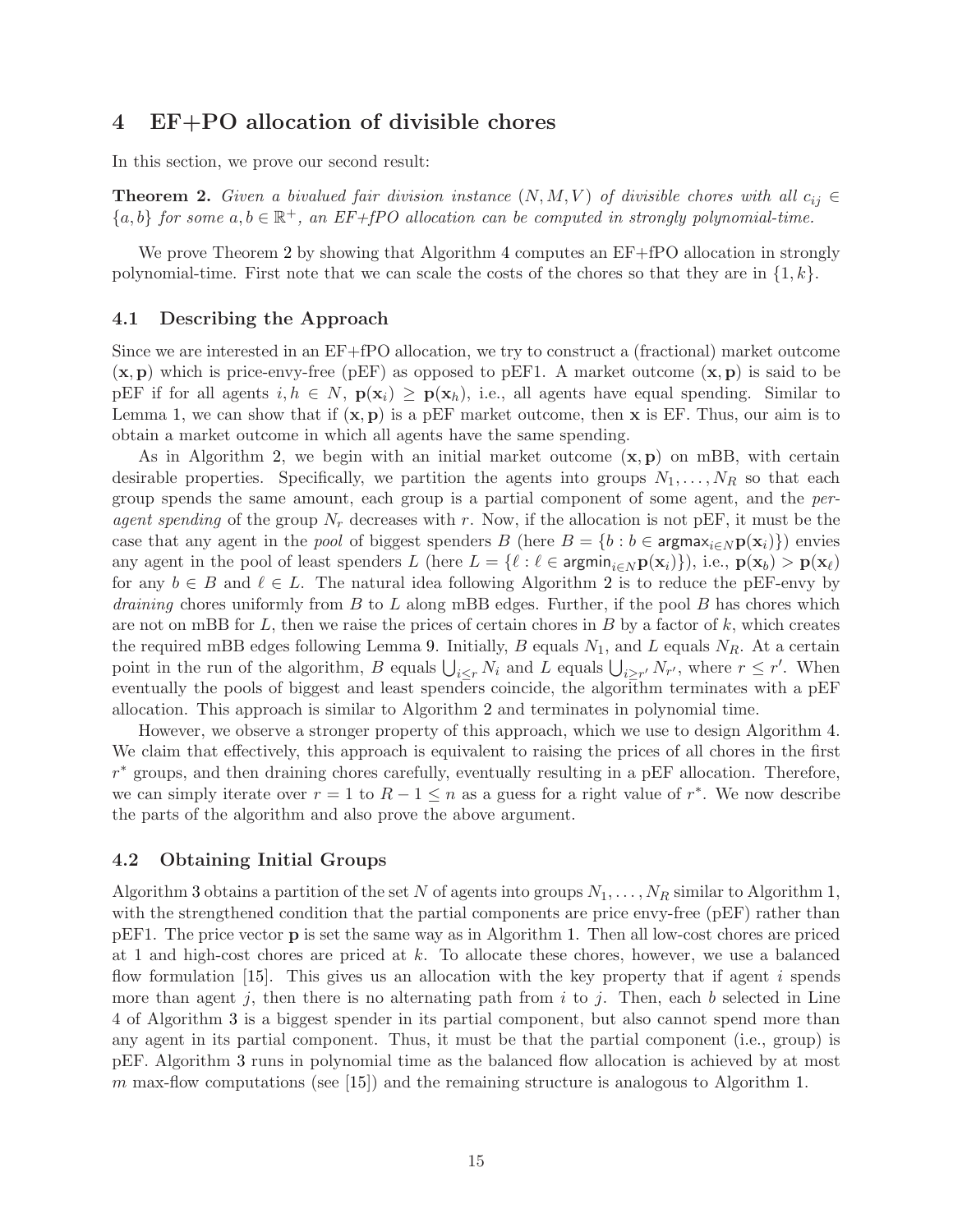# 4 EF+PO allocation of divisible chores

In this section, we prove our second result:

<span id="page-14-0"></span>**Theorem 2.** Given a bivalued fair division instance  $(N, M, V)$  of divisible chores with all  $c_{ij} \in$  ${a,b}$  for some  $a,b \in \mathbb{R}^+$ , an EF+fPO allocation can be computed in strongly polynomial-time.

We prove Theorem [2](#page-14-0) by showing that Algorithm [4](#page-16-0) computes an  $EF+fPO$  allocation in strongly polynomial-time. First note that we can scale the costs of the chores so that they are in  $\{1, k\}$ .

#### <span id="page-14-1"></span>4.1 Describing the Approach

Since we are interested in an EF+fPO allocation, we try to construct a (fractional) market outcome  $(x, p)$  which is price-envy-free (pEF) as opposed to pEF1. A market outcome  $(x, p)$  is said to be pEF if for all agents  $i, h \in N$ ,  $p(x_i) \geq p(x_h)$ , i.e., all agents have equal spending. Similar to Lemma [1,](#page-4-1) we can show that if  $(x, p)$  is a pEF market outcome, then x is EF. Thus, our aim is to obtain a market outcome in which all agents have the same spending.

As in Algorithm [2,](#page-8-0) we begin with an initial market outcome  $(x, p)$  on mBB, with certain desirable properties. Specifically, we partition the agents into groups  $N_1, \ldots, N_R$  so that each group spends the same amount, each group is a partial component of some agent, and the peragent spending of the group  $N_r$  decreases with r. Now, if the allocation is not pEF, it must be the case that any agent in the *pool* of biggest spenders B (here  $B = \{b : b \in \text{argmax}_{i \in N} p(x_i)\}\)$  envies any agent in the pool of least spenders L (here  $L = \{ \ell : \ell \in \text{argmin}_{i \in N} p(x_i) \}$ ), i.e.,  $p(x_b) > p(x_{\ell})$ for any  $b \in B$  and  $\ell \in L$ . The natural idea following Algorithm [2](#page-8-0) is to reduce the pEF-envy by *draining* chores uniformly from  $B$  to  $L$  along mBB edges. Further, if the pool  $B$  has chores which are not on mBB for  $L$ , then we raise the prices of certain chores in  $B$  by a factor of  $k$ , which creates the required mBB edges following Lemma [9.](#page-9-0) Initially, B equals  $N_1$ , and L equals  $N_R$ . At a certain point in the run of the algorithm, B equals  $\bigcup_{i\leq r} N_i$  and L equals  $\bigcup_{i\geq r'} N_{r'}$ , where  $r \leq r'$ . When eventually the pools of biggest and least spenders coincide, the algorithm terminates with a pEF allocation. This approach is similar to Algorithm [2](#page-8-0) and terminates in polynomial time.

However, we observe a stronger property of this approach, which we use to design Algorithm [4.](#page-16-0) We claim that effectively, this approach is equivalent to raising the prices of all chores in the first r <sup>∗</sup> groups, and then draining chores carefully, eventually resulting in a pEF allocation. Therefore, we can simply iterate over  $r = 1$  to  $R - 1 \leq n$  as a guess for a right value of  $r^*$ . We now describe the parts of the algorithm and also prove the above argument.

### <span id="page-14-2"></span>4.2 Obtaining Initial Groups

Algorithm [3](#page-15-0) obtains a partition of the set N of agents into groups  $N_1, \ldots, N_R$  $N_1, \ldots, N_R$  $N_1, \ldots, N_R$  similar to Algorithm 1, with the strengthened condition that the partial components are price envy-free (pEF) rather than pEF1. The price vector p is set the same way as in Algorithm [1.](#page-6-0) Then all low-cost chores are priced at 1 and high-cost chores are priced at k. To allocate these chores, however, we use a balanced flow formulation [\[15\]](#page-23-4). This gives us an allocation with the key property that if agent i spends more than agent j, then there is no alternating path from i to j. Then, each b selected in Line 4 of Algorithm [3](#page-15-0) is a biggest spender in its partial component, but also cannot spend more than any agent in its partial component. Thus, it must be that the partial component (i.e., group) is pEF. Algorithm [3](#page-15-0) runs in polynomial time as the balanced flow allocation is achieved by at most m max-flow computations (see [\[15\]](#page-23-4)) and the remaining structure is analogous to Algorithm [1.](#page-6-0)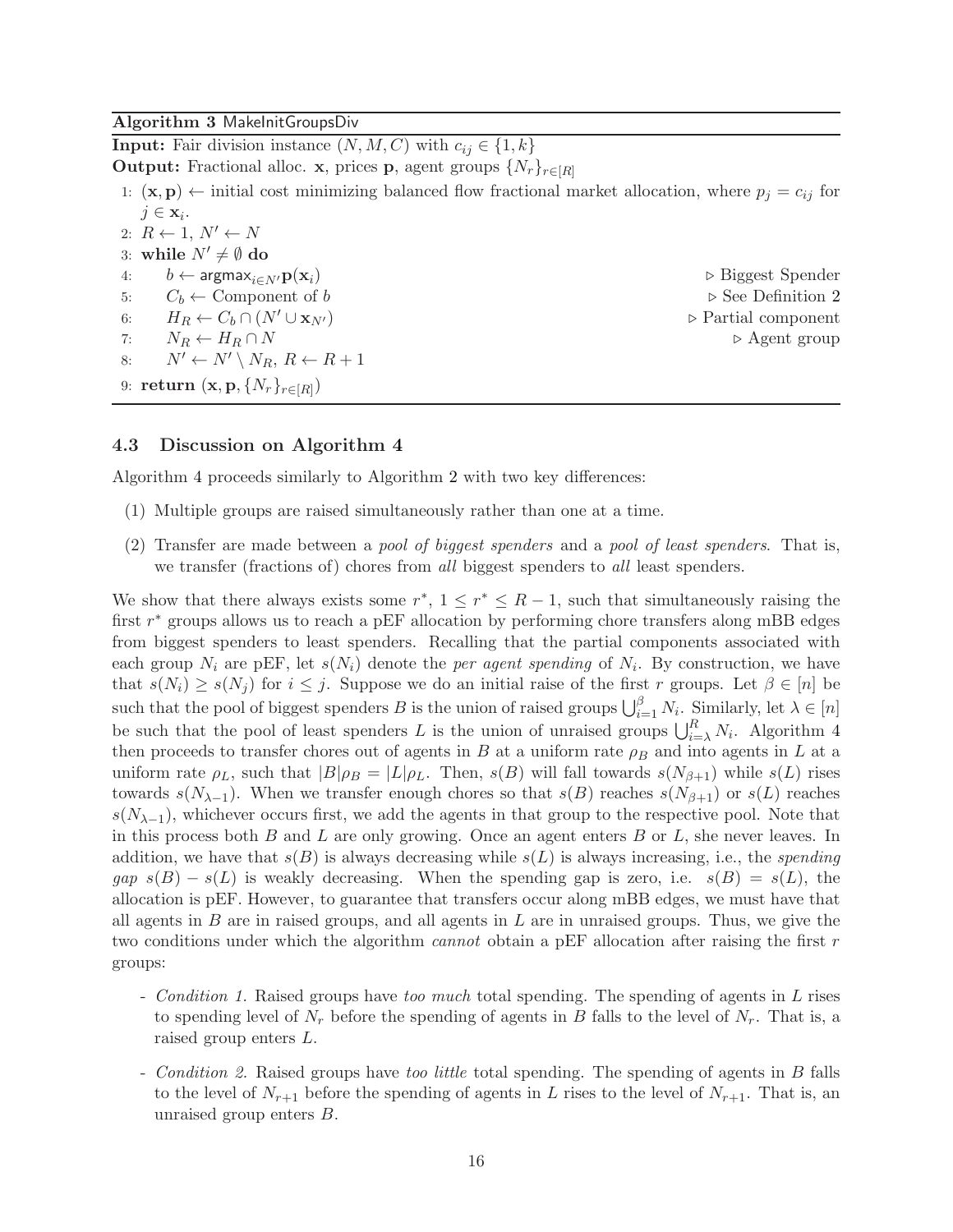### <span id="page-15-0"></span>Algorithm 3 MakeInitGroupsDiv

**Input:** Fair division instance  $(N, M, C)$  with  $c_{ij} \in \{1, k\}$ **Output:** Fractional alloc. **x**, prices **p**, agent groups  $\{N_r\}_{r\in[R]}$ 1:  $(\mathbf{x}, \mathbf{p}) \leftarrow$  initial cost minimizing balanced flow fractional market allocation, where  $p_j = c_{ij}$  for  $j \in \mathbf{x}_i$ . 2:  $R \leftarrow 1, N' \leftarrow N$ 3: while  $N' \neq \emptyset$  do 4:  $b \leftarrow \text{argmax}_{i \in \mathbb{N}'} \mathbf{p}(\mathbf{x}_i)$  ⇒ Biggest Spender 5:  $C_b \leftarrow$  Component of b  $\triangleright$  See Definition [2](#page-5-1) 6:  $H_R \leftarrow C_b \cap (N' \cup \mathbf{x}_{N'})$   $\triangleright$  Partial component 7:  $N_R \leftarrow H_R \cap N$   $\triangleright$  Agent group 8:  $N' \leftarrow N' \setminus N_R, R \leftarrow R + 1$ 9:  $\mathbf{return\ } (\mathbf{x},\mathbf{p},\{N_r\}_{r\in[R]})$ 

### <span id="page-15-1"></span>4.3 Discussion on Algorithm [4](#page-16-0)

Algorithm [4](#page-16-0) proceeds similarly to Algorithm [2](#page-8-0) with two key differences:

- (1) Multiple groups are raised simultaneously rather than one at a time.
- (2) Transfer are made between a pool of biggest spenders and a pool of least spenders. That is, we transfer (fractions of) chores from all biggest spenders to all least spenders.

We show that there always exists some  $r^*$ ,  $1 \leq r^* \leq R-1$ , such that simultaneously raising the first  $r^*$  groups allows us to reach a pEF allocation by performing chore transfers along mBB edges from biggest spenders to least spenders. Recalling that the partial components associated with each group  $N_i$  are pEF, let  $s(N_i)$  denote the *per agent spending* of  $N_i$ . By construction, we have that  $s(N_i) \geq s(N_j)$  for  $i \leq j$ . Suppose we do an initial raise of the first r groups. Let  $\beta \in [n]$  be such that the pool of biggest spenders B is the union of raised groups  $\bigcup_{i=1}^{\beta} N_i$ . Similarly, let  $\lambda \in [n]$ be such that the pool of least spenders L is the union of unraised groups  $\bigcup_{i=\lambda}^R N_i$ . Algorithm [4](#page-16-0) then proceeds to transfer chores out of agents in B at a uniform rate  $\rho_B$  and into agents in L at a uniform rate  $\rho_L$ , such that  $|B|\rho_B = |L|\rho_L$ . Then,  $s(B)$  will fall towards  $s(N_{\beta+1})$  while  $s(L)$  rises towards  $s(N_{\lambda-1})$ . When we transfer enough chores so that  $s(B)$  reaches  $s(N_{\beta+1})$  or  $s(L)$  reaches  $s(N_{\lambda-1})$ , whichever occurs first, we add the agents in that group to the respective pool. Note that in this process both  $B$  and  $L$  are only growing. Once an agent enters  $B$  or  $L$ , she never leaves. In addition, we have that  $s(B)$  is always decreasing while  $s(L)$  is always increasing, i.e., the *spending*  $gap \s(S) - s(L)$  is weakly decreasing. When the spending gap is zero, i.e.  $s(B) = s(L)$ , the allocation is pEF. However, to guarantee that transfers occur along mBB edges, we must have that all agents in  $B$  are in raised groups, and all agents in  $L$  are in unraised groups. Thus, we give the two conditions under which the algorithm *cannot* obtain a pEF allocation after raising the first  $r$ groups:

- Condition 1. Raised groups have too much total spending. The spending of agents in L rises to spending level of  $N_r$  before the spending of agents in B falls to the level of  $N_r$ . That is, a raised group enters L.
- *Condition 2.* Raised groups have too little total spending. The spending of agents in B falls to the level of  $N_{r+1}$  before the spending of agents in L rises to the level of  $N_{r+1}$ . That is, an unraised group enters B.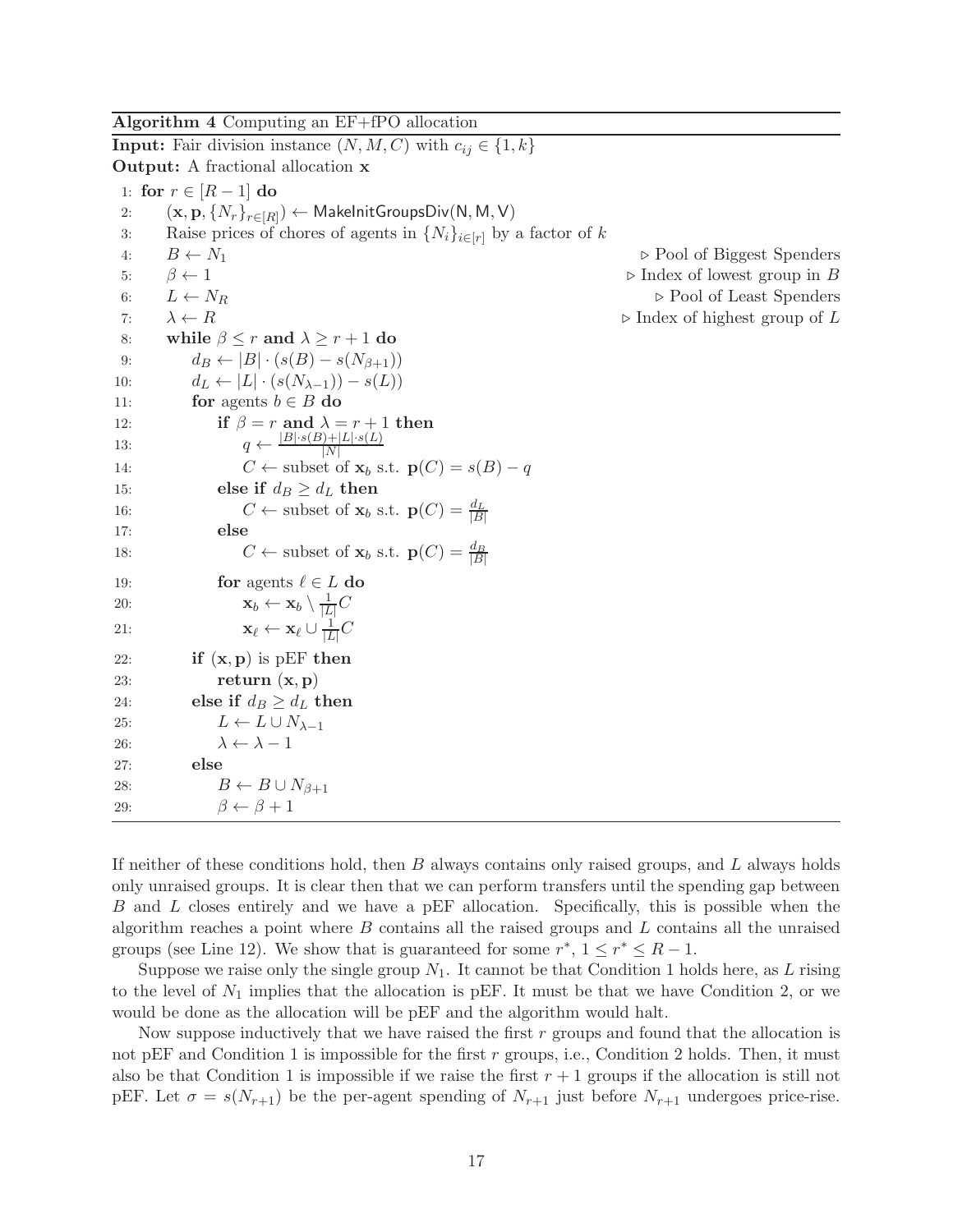<span id="page-16-0"></span>Algorithm 4 Computing an EF+fPO allocation

**Input:** Fair division instance  $(N, M, C)$  with  $c_{ij} \in \{1, k\}$ Output: A fractional allocation x 1: for  $r \in [R-1]$  do 2:  $(\mathbf{x},\mathbf{p},\{N_r\}_{r\in[R]}) \leftarrow \mathsf{MakelnitGroupsDiv}(\mathsf{N},\mathsf{M},\mathsf{V})$ 3: Raise prices of chores of agents in  $\{N_i\}_{i\in[r]}$  by a factor of k 4:  $B \leftarrow N_1$   $\triangleright$  Pool of Biggest Spenders 5: β ← 1 ⊲ Index of lowest group in B 6:  $L \leftarrow N_R$   $\triangleright$  Pool of Least Spenders 7:  $\lambda \leftarrow R$   $\triangleright$  Index of highest group of L 8: while  $\beta \leq r$  and  $\lambda \geq r + 1$  do 9:  $d_B \leftarrow |B| \cdot (s(B) - s(N_{\beta+1}))$ 10:  $d_L \leftarrow |L| \cdot (s(N_{\lambda-1})) - s(L)$ 11: **for** agents  $b \in B$  do 12: if  $\beta = r$  and  $\lambda = r + 1$  then 13:  $q \leftarrow \frac{|B| \cdot s(B) + |L| \cdot s(L)}{|N|}$ 14:  $C \leftarrow \text{subset of } \mathbf{x}_b \text{ s.t. } \mathbf{p}(C) = s(B) - q$ 15: else if  $d_B \geq d_L$  then 16:  $C \leftarrow \text{subset of } \mathbf{x}_b \text{ s.t. } \mathbf{p}(C) = \frac{d_L}{|B|}$ 17: else 18:  $C \leftarrow \text{subset of } \mathbf{x}_b \text{ s.t. } \mathbf{p}(C) = \frac{d_B}{|B|}$ 19: **for** agents  $\ell \in L$  do 20:  $\mathbf{x}_b \leftarrow \mathbf{x}_b \setminus \frac{1}{|L|}C$ 21:  $\mathbf{x}_{\ell} \leftarrow \mathbf{x}_{\ell} \cup \frac{1}{|I|}$  $\frac{1}{|L|}C$ 22: if  $(x, p)$  is pEF then 23: return  $(x, p)$ 24: else if  $d_B \geq d_L$  then 25:  $L \leftarrow L \cup N_{\lambda-1}$ 26:  $\lambda \leftarrow \lambda - 1$ 27: else 28:  $B \leftarrow B \cup N_{\beta+1}$ 29:  $\beta \leftarrow \beta + 1$ 

If neither of these conditions hold, then  $B$  always contains only raised groups, and  $L$  always holds only unraised groups. It is clear then that we can perform transfers until the spending gap between B and L closes entirely and we have a pEF allocation. Specifically, this is possible when the algorithm reaches a point where  $B$  contains all the raised groups and  $L$  contains all the unraised groups (see Line 12). We show that is guaranteed for some  $r^*$ ,  $1 \le r^* \le R - 1$ .

Suppose we raise only the single group  $N_1$ . It cannot be that Condition 1 holds here, as L rising to the level of  $N_1$  implies that the allocation is pEF. It must be that we have Condition 2, or we would be done as the allocation will be pEF and the algorithm would halt.

Now suppose inductively that we have raised the first  $r$  groups and found that the allocation is not pEF and Condition 1 is impossible for the first r groups, i.e., Condition 2 holds. Then, it must also be that Condition 1 is impossible if we raise the first  $r + 1$  groups if the allocation is still not pEF. Let  $\sigma = s(N_{r+1})$  be the per-agent spending of  $N_{r+1}$  just before  $N_{r+1}$  undergoes price-rise.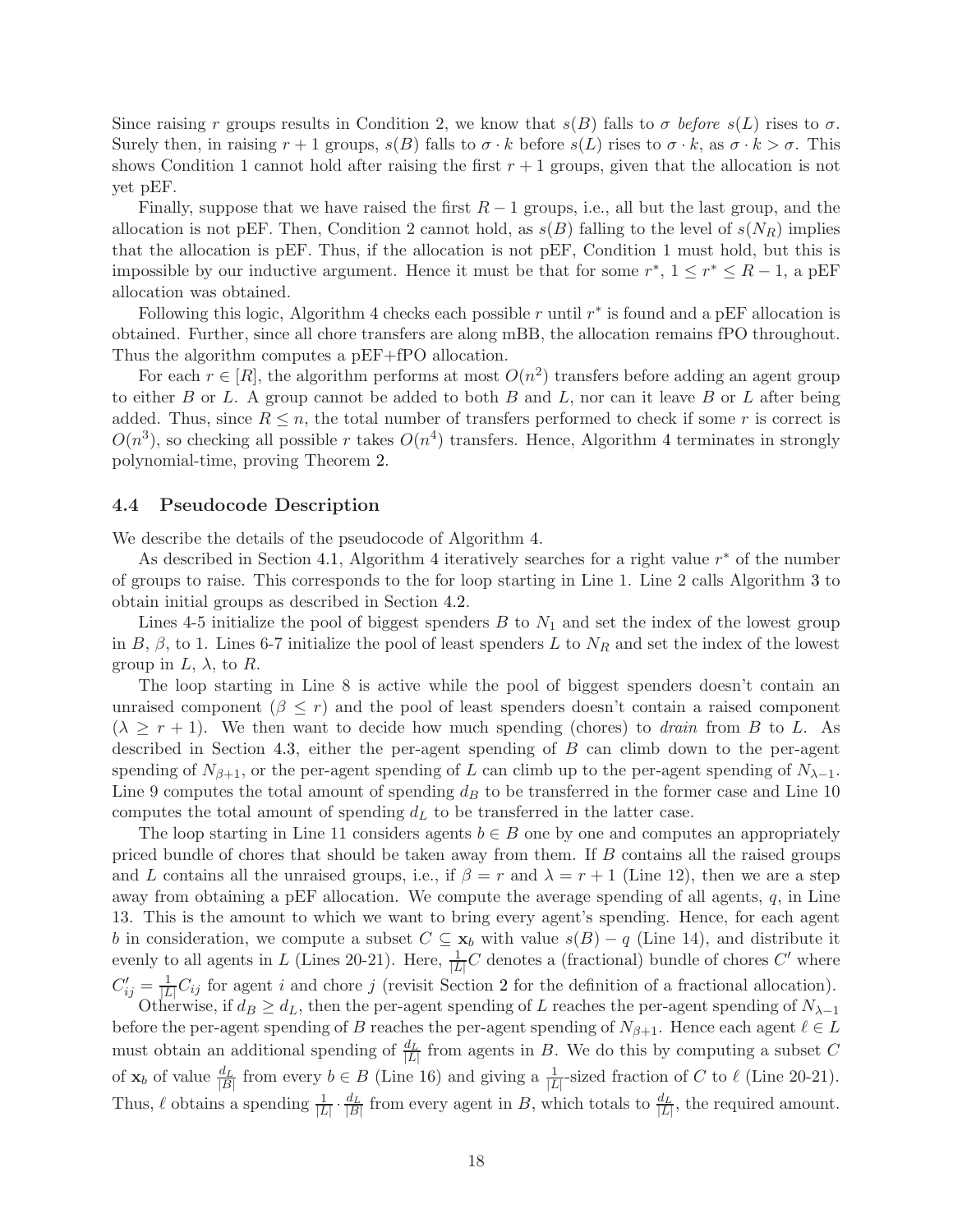Since raising r groups results in Condition 2, we know that  $s(B)$  falls to  $\sigma$  before  $s(L)$  rises to  $\sigma$ . Surely then, in raising  $r + 1$  groups,  $s(B)$  falls to  $\sigma \cdot k$  before  $s(L)$  rises to  $\sigma \cdot k$ , as  $\sigma \cdot k > \sigma$ . This shows Condition 1 cannot hold after raising the first  $r + 1$  groups, given that the allocation is not yet pEF.

Finally, suppose that we have raised the first  $R-1$  groups, i.e., all but the last group, and the allocation is not pEF. Then, Condition 2 cannot hold, as  $s(B)$  falling to the level of  $s(N_R)$  implies that the allocation is pEF. Thus, if the allocation is not pEF, Condition 1 must hold, but this is impossible by our inductive argument. Hence it must be that for some  $r^*$ ,  $1 \le r^* \le R - 1$ , a pEF allocation was obtained.

Following this logic, Algorithm [4](#page-16-0) checks each possible r until  $r^*$  is found and a pEF allocation is obtained. Further, since all chore transfers are along mBB, the allocation remains fPO throughout. Thus the algorithm computes a pEF+fPO allocation.

For each  $r \in [R]$ , the algorithm performs at most  $O(n^2)$  transfers before adding an agent group to either  $B$  or  $L$ . A group cannot be added to both  $B$  and  $L$ , nor can it leave  $B$  or  $L$  after being added. Thus, since  $R \leq n$ , the total number of transfers performed to check if some r is correct is  $O(n^3)$ , so checking all possible r takes  $O(n^4)$  $O(n^4)$  $O(n^4)$  transfers. Hence, Algorithm 4 terminates in strongly polynomial-time, proving Theorem [2.](#page-14-0)

#### 4.4 Pseudocode Description

We describe the details of the pseudocode of Algorithm [4.](#page-16-0)

As described in Section [4.1,](#page-14-1) Algorithm [4](#page-16-0) iteratively searches for a right value  $r^*$  of the number of groups to raise. This corresponds to the for loop starting in Line 1. Line 2 calls Algorithm [3](#page-15-0) to obtain initial groups as described in Section [4.2.](#page-14-2)

Lines 4-5 initialize the pool of biggest spenders  $B$  to  $N_1$  and set the index of the lowest group in B,  $\beta$ , to 1. Lines 6-7 initialize the pool of least spenders L to  $N_R$  and set the index of the lowest group in  $L$ ,  $\lambda$ , to R.

The loop starting in Line 8 is active while the pool of biggest spenders doesn't contain an unraised component  $(\beta \leq r)$  and the pool of least spenders doesn't contain a raised component  $(\lambda \geq r + 1)$ . We then want to decide how much spending (chores) to *drain* from B to L. As described in Section [4.3,](#page-15-1) either the per-agent spending of B can climb down to the per-agent spending of  $N_{\beta+1}$ , or the per-agent spending of L can climb up to the per-agent spending of  $N_{\lambda-1}$ . Line 9 computes the total amount of spending  $d<sub>B</sub>$  to be transferred in the former case and Line 10 computes the total amount of spending  $d<sub>L</sub>$  to be transferred in the latter case.

The loop starting in Line 11 considers agents  $b \in B$  one by one and computes an appropriately priced bundle of chores that should be taken away from them. If B contains all the raised groups and L contains all the unraised groups, i.e., if  $\beta = r$  and  $\lambda = r + 1$  (Line 12), then we are a step away from obtaining a pEF allocation. We compute the average spending of all agents,  $q$ , in Line 13. This is the amount to which we want to bring every agent's spending. Hence, for each agent b in consideration, we compute a subset  $C \subseteq \mathbf{x}_b$  with value  $s(B) - q$  (Line 14), and distribute it evenly to all agents in L (Lines 20-21). Here,  $\frac{1}{|L|}C$  denotes a (fractional) bundle of chores  $C'$  where  $C'_{ij} = \frac{1}{|L|}$  $\frac{1}{|L|}C_{ij}$  for agent i and chore j (revisit Section [2](#page-2-1) for the definition of a fractional allocation).

Otherwise, if  $d_B \geq d_L$ , then the per-agent spending of L reaches the per-agent spending of  $N_{\lambda-1}$ before the per-agent spending of B reaches the per-agent spending of  $N_{\beta+1}$ . Hence each agent  $\ell \in L$ must obtain an additional spending of  $\frac{d_L}{|L|}$  from agents in B. We do this by computing a subset C of  $\mathbf{x}_b$  of value  $\frac{d_L}{|B|}$  from every  $b \in B$  (Line 16) and giving a  $\frac{1}{|L|}$ -sized fraction of C to  $\ell$  (Line 20-21). Thus,  $\ell$  obtains a spending  $\frac{1}{|L|} \cdot \frac{d_L}{|B|}$  $\frac{d_L}{|B|}$  from every agent in B, which totals to  $\frac{d_L}{|L|}$ , the required amount.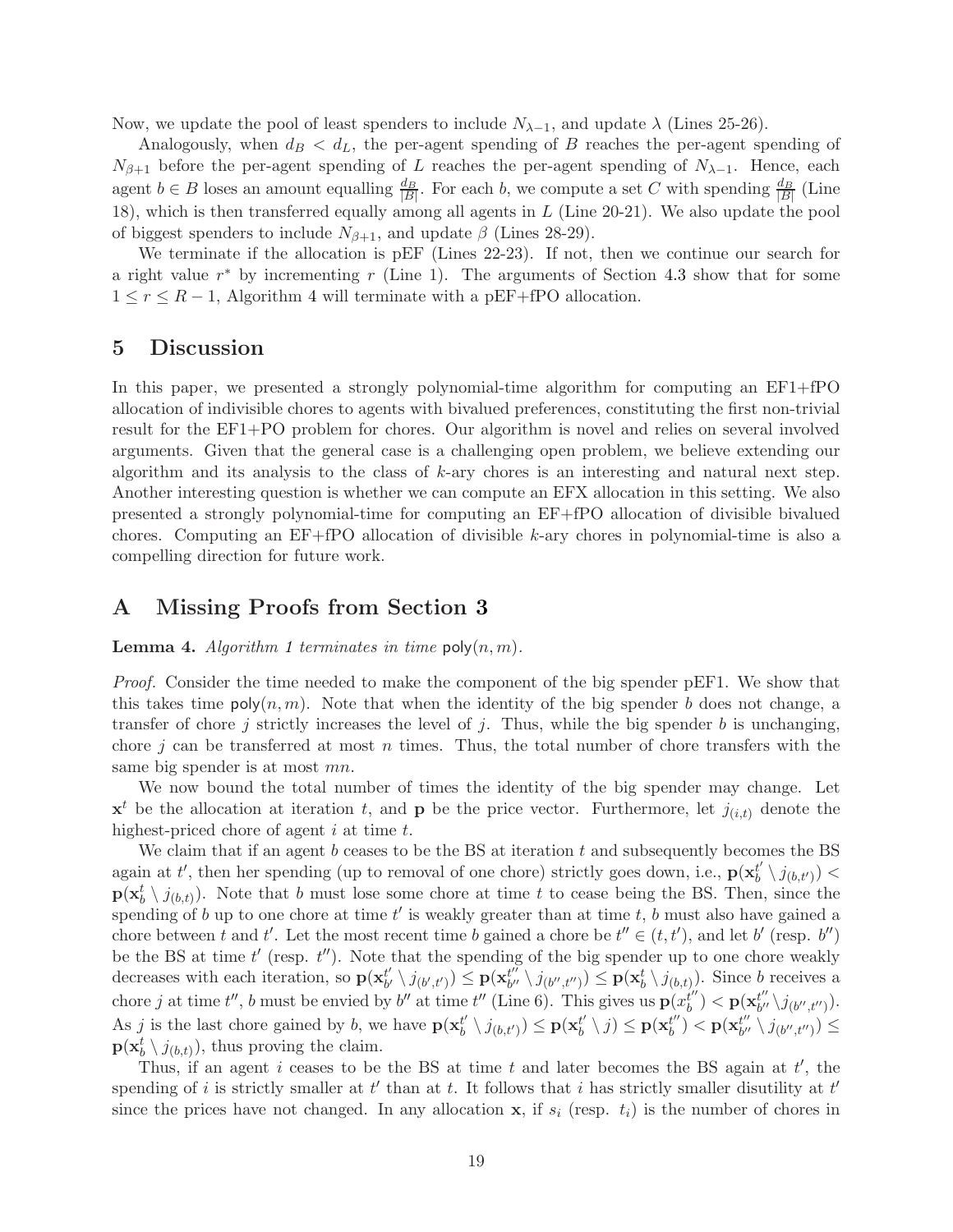Now, we update the pool of least spenders to include  $N_{\lambda-1}$ , and update  $\lambda$  (Lines 25-26).

Analogously, when  $d_B < d_L$ , the per-agent spending of B reaches the per-agent spending of  $N_{\beta+1}$  before the per-agent spending of L reaches the per-agent spending of  $N_{\lambda-1}$ . Hence, each agent  $b \in B$  loses an amount equalling  $\frac{d_B}{|B|}$ . For each b, we compute a set C with spending  $\frac{d_B}{|B|}$  (Line 18), which is then transferred equally among all agents in L (Line 20-21). We also update the pool of biggest spenders to include  $N_{\beta+1}$ , and update  $\beta$  (Lines 28-29).

We terminate if the allocation is pEF (Lines 22-23). If not, then we continue our search for a right value  $r^*$  by incrementing  $r$  (Line 1). The arguments of Section [4.3](#page-15-1) show that for some  $1 \leq r \leq R-1$ , Algorithm [4](#page-16-0) will terminate with a pEF+fPO allocation.

### 5 Discussion

In this paper, we presented a strongly polynomial-time algorithm for computing an EF1+fPO allocation of indivisible chores to agents with bivalued preferences, constituting the first non-trivial result for the EF1+PO problem for chores. Our algorithm is novel and relies on several involved arguments. Given that the general case is a challenging open problem, we believe extending our algorithm and its analysis to the class of  $k$ -ary chores is an interesting and natural next step. Another interesting question is whether we can compute an EFX allocation in this setting. We also presented a strongly polynomial-time for computing an EF+fPO allocation of divisible bivalued chores. Computing an EF+fPO allocation of divisible k-ary chores in polynomial-time is also a compelling direction for future work.

### <span id="page-18-0"></span>A Missing Proofs from Section [3](#page-5-2)

**Lemma 4.** Algorithm [1](#page-6-0) terminates in time  $\text{poly}(n, m)$ .

Proof. Consider the time needed to make the component of the big spender pEF1. We show that this takes time  $poly(n, m)$ . Note that when the identity of the big spender b does not change, a transfer of chore j strictly increases the level of j. Thus, while the big spender b is unchanging, chore j can be transferred at most n times. Thus, the total number of chore transfers with the same big spender is at most mn.

We now bound the total number of times the identity of the big spender may change. Let  $\mathbf{x}^t$  be the allocation at iteration t, and **p** be the price vector. Furthermore, let  $j_{(i,t)}$  denote the highest-priced chore of agent  $i$  at time  $t$ .

We claim that if an agent b ceases to be the BS at iteration t and subsequently becomes the BS again at t', then her spending (up to removal of one chore) strictly goes down, i.e.,  $\mathbf{p}(\mathbf{x}_b^{t'})$  $\binom{t'}{b}\setminus j_{(b,t')}) <$  $\mathbf{p}(\mathbf{x}_b^t \setminus j_{(b,t)})$ . Note that b must lose some chore at time t to cease being the BS. Then, since the spending of b up to one chore at time  $t'$  is weakly greater than at time  $t, b$  must also have gained a chore between t and t'. Let the most recent time b gained a chore be  $t'' \in (t, t')$ , and let b' (resp. b'') be the BS at time  $t'$  (resp.  $t''$ ). Note that the spending of the big spender up to one chore weakly decreases with each iteration, so  $p(\mathbf{x}_{h'}^{t'})$  $\mathbf{b}^{t'}\setminus j_{(b',t')})\overset{\mathbf{1}}{\leq}\mathbf{p}(\mathbf{x}_{b''}^{t''})$  $b'' \setminus j_{(b'',t'')}) \leq \mathbf{p}(\mathbf{x}_{b}^{t} \setminus j_{(b,t)})$ . Since b receives a chore j at time t'', b must be envied by b'' at time t'' (Line 6). This gives us  $\mathbf{p}(x_b^{t''})$  $\hat{\boldsymbol{h}}''_b$ )  $< \mathbf{p}(\mathbf{x}_{b''}^{t''})$  $_{b^{\prime \prime }}^{t^{\prime \prime }}\backslash j_{(b^{\prime \prime },t^{\prime \prime })}).$ As j is the last chore gained by b, we have  $p(\mathbf{x}_h^{t})$  $\mathbf{b}_{b}^{t'} \setminus j_{(b,t')}) \leq \mathbf{p}(\mathbf{x}_{b}^{t'}),$  $\mathbf{b}_{b}^{t'}\setminus j)\leq \mathbf{p}(\mathbf{x}_{b}^{t''})$  $\left(\begin{matrix} t' \ b' \end{matrix}\right) < \mathbf{p}(\mathbf{x}_{b''}^{t''})$  $\binom{t^{\prime\prime}}{b^{\prime\prime}}\setminus j_{(b^{\prime\prime},t^{\prime\prime})})\leq$  $\mathbf{p}(\mathbf{x}_{b}^{t} \setminus j_{(b,t)})$ , thus proving the claim.

Thus, if an agent i ceases to be the BS at time  $t$  and later becomes the BS again at  $t'$ , the spending of i is strictly smaller at  $t'$  than at t. It follows that i has strictly smaller disutility at  $t'$ since the prices have not changed. In any allocation  $x$ , if  $s_i$  (resp.  $t_i$ ) is the number of chores in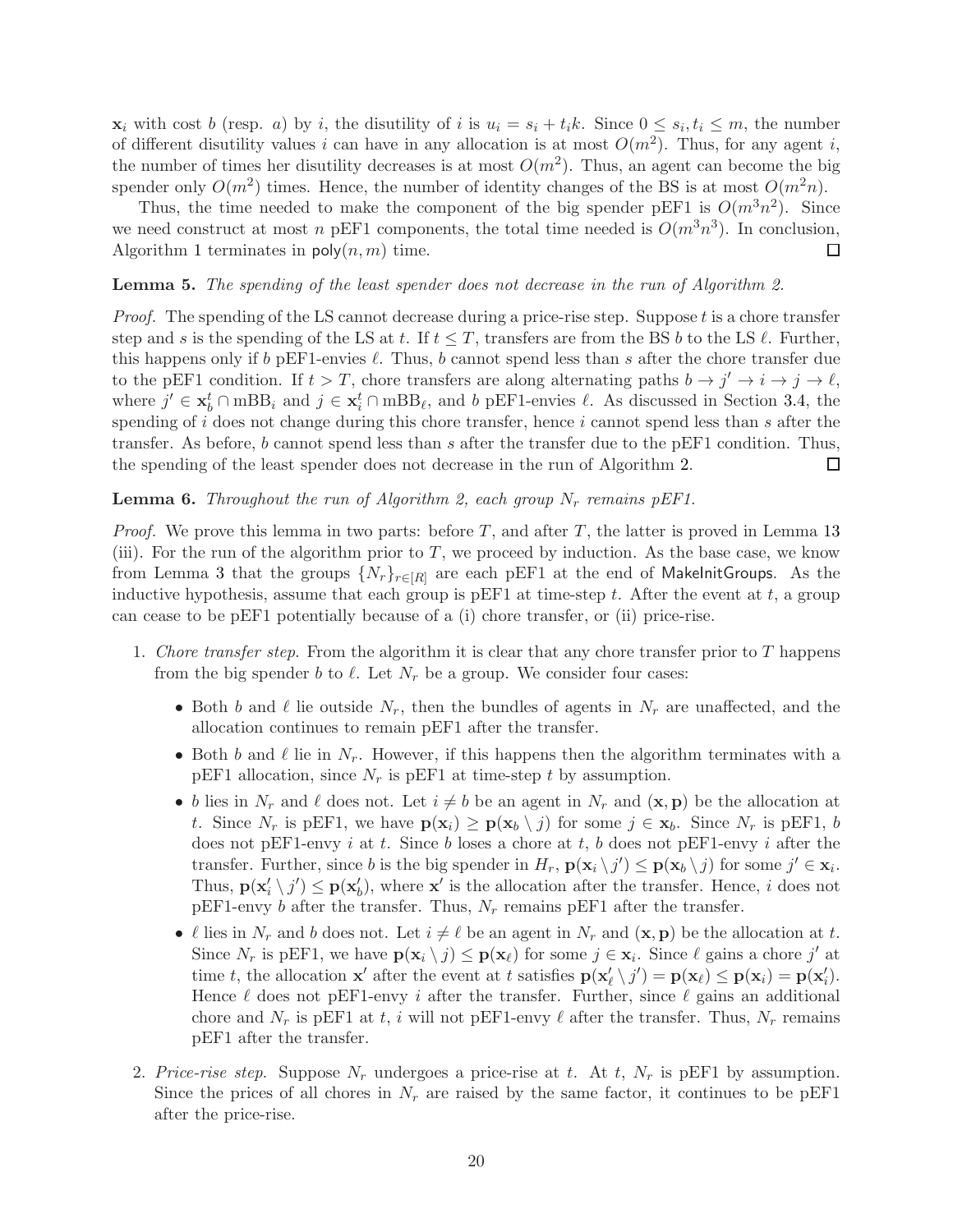$\mathbf{x}_i$  with cost b (resp. a) by i, the disutility of i is  $u_i = s_i + t_i k$ . Since  $0 \leq s_i, t_i \leq m$ , the number of different disutility values i can have in any allocation is at most  $O(m^2)$ . Thus, for any agent i, the number of times her disutility decreases is at most  $O(m^2)$ . Thus, an agent can become the big spender only  $O(m^2)$  times. Hence, the number of identity changes of the BS is at most  $O(m^2n)$ .

Thus, the time needed to make the component of the big spender pEF1 is  $O(m^3n^2)$ . Since we need construct at most n pEF1 components, the total time needed is  $O(m^3n^3)$ . In conclusion, Algorithm [1](#page-6-0) terminates in  $\mathsf{poly}(n,m)$  time. □

#### **Lemma 5.** The spending of the least spender does not decrease in the run of Algorithm [2.](#page-8-0)

*Proof.* The spending of the LS cannot decrease during a price-rise step. Suppose  $t$  is a chore transfer step and s is the spending of the LS at t. If  $t \leq T$ , transfers are from the BS b to the LS  $\ell$ . Further, this happens only if b pEF1-envies  $\ell$ . Thus, b cannot spend less than s after the chore transfer due to the pEF1 condition. If  $t > T$ , chore transfers are along alternating paths  $b \to j' \to i \to j \to \ell$ , where  $j' \in \mathbf{x}_{b}^{t} \cap \text{mBB}_{i}$  and  $j \in \mathbf{x}_{i}^{t} \cap \text{mBB}_{\ell}$ , and b pEF1-envies  $\ell$ . As discussed in Section [3.4,](#page-10-1) the spending of i does not change during this chore transfer, hence i cannot spend less than s after the transfer. As before, b cannot spend less than s after the transfer due to the pEF1 condition. Thus, the spending of the least spender does not decrease in the run of Algorithm [2.](#page-8-0) □

#### **Lemma 6.** Throughout the run of Algorithm [2,](#page-8-0) each group  $N_r$  remains pEF1.

*Proof.* We prove this lemma in two parts: before  $T$ , and after  $T$ , the latter is proved in Lemma [13](#page-11-0) (iii). For the run of the algorithm prior to T, we proceed by induction. As the base case, we know from Lemma [3](#page-6-1) that the groups  $\{N_r\}_{r\in[R]}$  are each pEF1 at the end of MakeInitGroups. As the inductive hypothesis, assume that each group is pEF1 at time-step t. After the event at t, a group can cease to be pEF1 potentially because of a (i) chore transfer, or (ii) price-rise.

- 1. Chore transfer step. From the algorithm it is clear that any chore transfer prior to  $T$  happens from the big spender b to  $\ell$ . Let  $N_r$  be a group. We consider four cases:
	- Both b and  $\ell$  lie outside  $N_r$ , then the bundles of agents in  $N_r$  are unaffected, and the allocation continues to remain pEF1 after the transfer.
	- Both b and  $\ell$  lie in  $N_r$ . However, if this happens then the algorithm terminates with a pEF1 allocation, since  $N_r$  is pEF1 at time-step t by assumption.
	- b lies in  $N_r$  and  $\ell$  does not. Let  $i \neq b$  be an agent in  $N_r$  and  $(\mathbf{x}, \mathbf{p})$  be the allocation at t. Since  $N_r$  is pEF1, we have  $p(\mathbf{x}_i) \geq p(\mathbf{x}_b \setminus j)$  for some  $j \in \mathbf{x}_b$ . Since  $N_r$  is pEF1, b does not pEF1-envy  $i$  at  $t$ . Since  $b$  loses a chore at  $t$ ,  $b$  does not pEF1-envy  $i$  after the transfer. Further, since b is the big spender in  $H_r$ ,  $\mathbf{p}(\mathbf{x}_i \setminus j') \leq \mathbf{p}(\mathbf{x}_b \setminus j)$  for some  $j' \in \mathbf{x}_i$ . Thus,  $\mathbf{p}(\mathbf{x}'_i \setminus j') \leq \mathbf{p}(\mathbf{x}'_b)$ , where  $\mathbf{x}'$  is the allocation after the transfer. Hence, i does not pEF1-envy b after the transfer. Thus,  $N_r$  remains pEF1 after the transfer.
	- $\ell$  lies in  $N_r$  and b does not. Let  $i \neq \ell$  be an agent in  $N_r$  and  $(\mathbf{x}, \mathbf{p})$  be the allocation at t. Since  $N_r$  is pEF1, we have  $\mathbf{p}(\mathbf{x}_i \setminus j) \leq \mathbf{p}(\mathbf{x}_{\ell})$  for some  $j \in \mathbf{x}_i$ . Since  $\ell$  gains a chore  $j'$  at time t, the allocation  $\mathbf{x}'$  after the event at t satisfies  $\mathbf{p}(\mathbf{x}'_l \setminus j') = \mathbf{p}(\mathbf{x}_l) \leq \mathbf{p}(\mathbf{x}_i) = \mathbf{p}(\mathbf{x}'_l)$ . Hence  $\ell$  does not pEF1-envy *i* after the transfer. Further, since  $\ell$  gains an additional chore and  $N_r$  is pEF1 at t, i will not pEF1-envy  $\ell$  after the transfer. Thus,  $N_r$  remains pEF1 after the transfer.
- 2. Price-rise step. Suppose  $N_r$  undergoes a price-rise at t. At t,  $N_r$  is pEF1 by assumption. Since the prices of all chores in  $N_r$  are raised by the same factor, it continues to be pEF1 after the price-rise.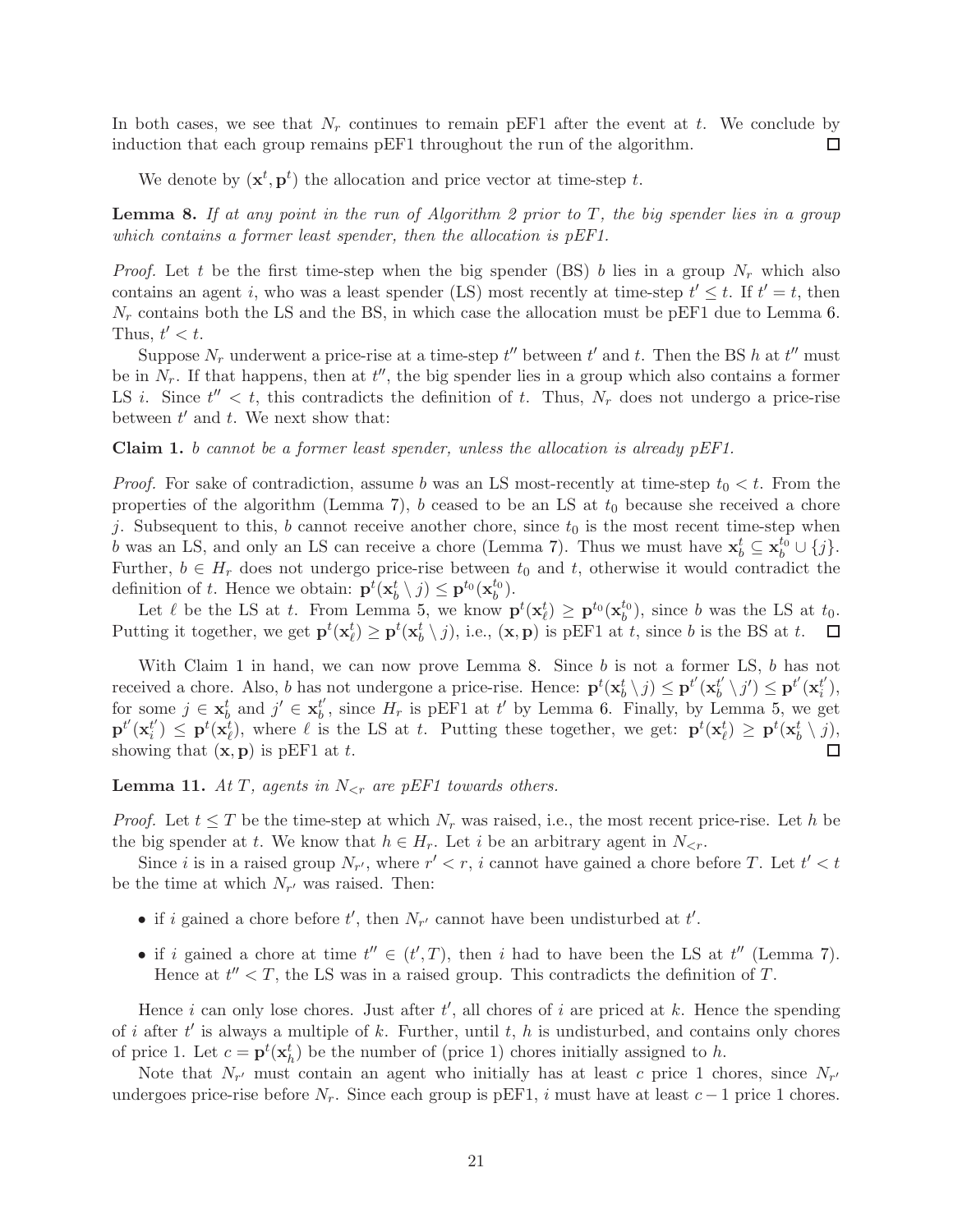In both cases, we see that  $N_r$  continues to remain pEF1 after the event at t. We conclude by induction that each group remains pEF1 throughout the run of the algorithm.  $\Box$ 

We denote by  $(\mathbf{x}^t, \mathbf{p}^t)$  the allocation and price vector at time-step t.

**Lemma 8.** If at any point in the run of Algorithm [2](#page-8-0) prior to  $T$ , the big spender lies in a group which contains a former least spender, then the allocation is pEF1.

*Proof.* Let t be the first time-step when the big spender (BS) b lies in a group  $N_r$  which also contains an agent i, who was a least spender (LS) most recently at time-step  $t' \leq t$ . If  $t' = t$ , then  $N_r$  contains both the LS and the BS, in which case the allocation must be pEF1 due to Lemma [6.](#page-8-1) Thus,  $t' < t$ .

Suppose  $N_r$  underwent a price-rise at a time-step  $t''$  between  $t'$  and  $t$ . Then the BS h at  $t''$  must be in  $N_r$ . If that happens, then at  $t''$ , the big spender lies in a group which also contains a former LS *i*. Since  $t'' < t$ , this contradicts the definition of *t*. Thus,  $N_r$  does not undergo a price-rise between  $t'$  and  $t$ . We next show that:

<span id="page-20-0"></span>**Claim 1.** b cannot be a former least spender, unless the allocation is already  $pEF1$ .

*Proof.* For sake of contradiction, assume b was an LS most-recently at time-step  $t_0 < t$ . From the properties of the algorithm (Lemma [7\)](#page-9-1), b ceased to be an LS at  $t_0$  because she received a chore j. Subsequent to this, b cannot receive another chore, since  $t_0$  is the most recent time-step when b was an LS, and only an LS can receive a chore (Lemma [7\)](#page-9-1). Thus we must have  $\mathbf{x}_b^t \subseteq \mathbf{x}_b^{t_0} \cup \{j\}$ . Further,  $b \in H_r$  does not undergo price-rise between  $t_0$  and  $t$ , otherwise it would contradict the definition of t. Hence we obtain:  $\mathbf{p}^t(\mathbf{x}_b^t \setminus j) \leq \mathbf{p}^{t_0}(\mathbf{x}_b^{t_0})$  $\big\{ \begin{array}{c} t_0 \ b \end{array} \big\}.$ 

Let  $\ell$  be the LS at t. From Lemma [5,](#page-7-1) we know  $\mathbf{p}^t(\mathbf{x}_{\ell}^t) \geq \mathbf{p}^{t_0}(\mathbf{x}_{b}^{t_0})$  $\binom{t_0}{b}$ , since b was the LS at  $t_0$ . Putting it together, we get  $\mathbf{p}^t(\mathbf{x}_{\ell}^t) \geq \mathbf{p}^t(\mathbf{x}_{\ell}^t \setminus j)$ , i.e.,  $(\mathbf{x}, \mathbf{p})$  is pEF1 at t, since b is the BS at t.  $\Box$ 

With Claim [1](#page-20-0) in hand, we can now prove Lemma [8.](#page-9-2) Since  $b$  is not a former LS,  $b$  has not received a chore. Also, b has not undergone a price-rise. Hence:  $\mathbf{p}^t(\mathbf{x}_b^t \setminus j) \leq \mathbf{p}^{t'}(\mathbf{x}_b^{t'}$  $\left(\mathbf{b}^{t^{\prime}}\setminus j^{\prime}\right)^{'}\!\leq \mathbf{p}^{t^{\prime}}(\mathbf{x}_{i}^{t^{\prime}})$  $i^{\prime}$ ), for some  $j \in \mathbf{x}_b^t$  and  $j' \in \mathbf{x}_b^{t'}$  $t'$ , since  $H_r$  is pEF1 at t' by Lemma [6.](#page-8-1) Finally, by Lemma [5,](#page-7-1) we get  $\mathbf{p}^{t'}(\mathbf{x}_i^{t'})$  $t'_{i}$ )  $\leq$   $\mathbf{p}^{t}(\mathbf{x}_{\ell}^{t})$ , where  $\ell$  is the LS at t. Putting these together, we get:  $\mathbf{p}^{t}(\mathbf{x}_{\ell}^{t}) \geq \mathbf{p}^{t}(\mathbf{x}_{b}^{t} \setminus j)$ , showing that  $(\mathbf{x}, \mathbf{p})$  is pEF1 at t.  $\Box$ 

**Lemma 11.** At T, agents in  $N_{\leq r}$  are pEF1 towards others.

*Proof.* Let  $t \leq T$  be the time-step at which  $N_r$  was raised, i.e., the most recent price-rise. Let h be the big spender at t. We know that  $h \in H_r$ . Let i be an arbitrary agent in  $N_{\leq r}$ .

Since i is in a raised group  $N_{r'}$ , where  $r' < r$ , i cannot have gained a chore before T. Let  $t' < t$ be the time at which  $N_{r'}$  was raised. Then:

- if i gained a chore before  $t'$ , then  $N_{r'}$  cannot have been undisturbed at  $t'$ .
- if i gained a chore at time  $t'' \in (t',T)$ , then i had to have been the LS at  $t''$  (Lemma [7\)](#page-9-1). Hence at  $t'' < T$ , the LS was in a raised group. This contradicts the definition of T.

Hence i can only lose chores. Just after  $t'$ , all chores of i are priced at k. Hence the spending of i after  $t'$  is always a multiple of k. Further, until  $t, h$  is undisturbed, and contains only chores of price 1. Let  $c = \mathbf{p}^t(\mathbf{x}_h^t)$  be the number of (price 1) chores initially assigned to h.

Note that  $N_{r'}$  must contain an agent who initially has at least c price 1 chores, since  $N_{r'}$ undergoes price-rise before  $N_r$ . Since each group is pEF1, i must have at least  $c-1$  price 1 chores.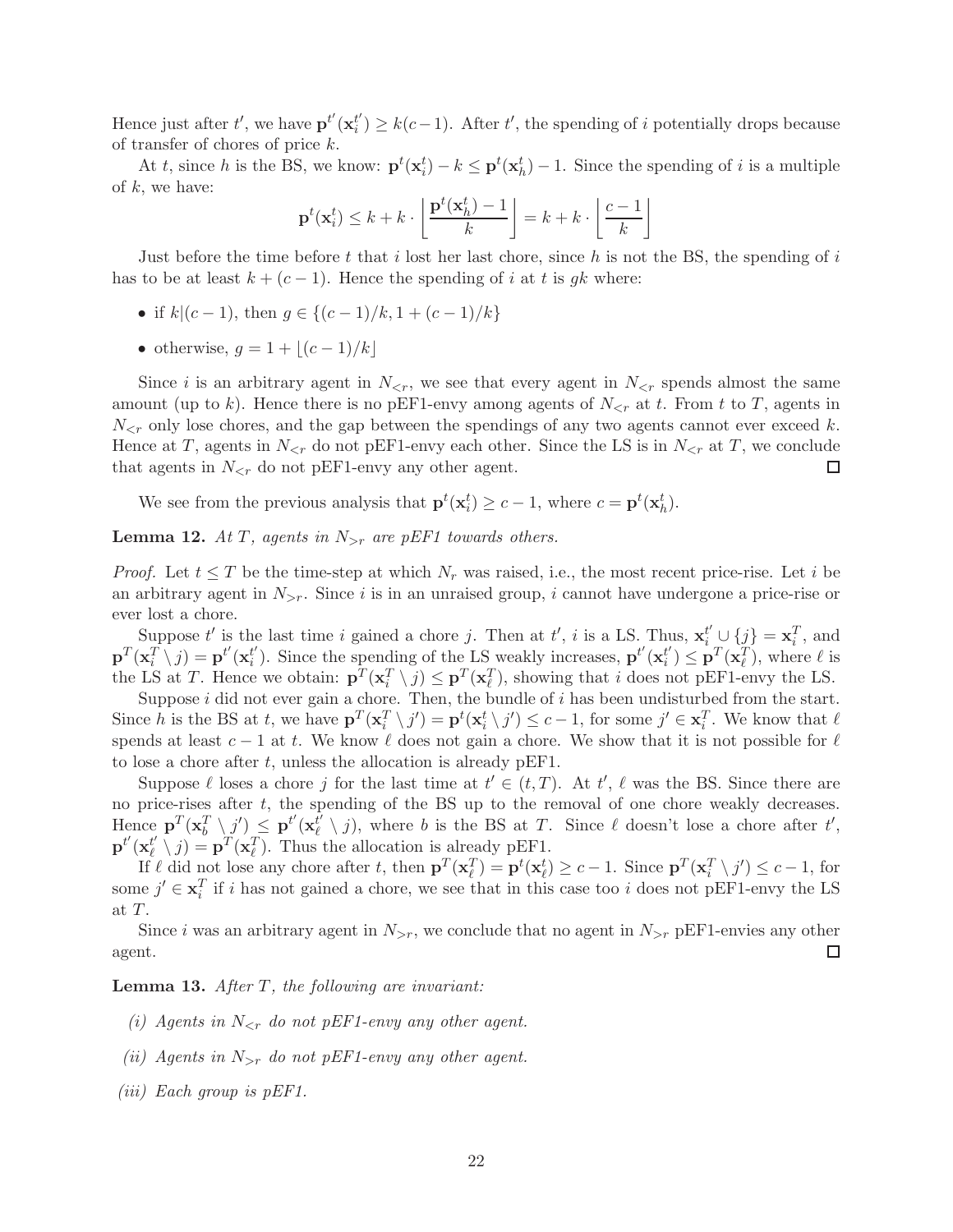Hence just after t', we have  $\mathbf{p}^{t'}(\mathbf{x}_i^{t'}))$  $t'$ <sub>i</sub>) ≥  $k(c-1)$ . After  $t'$ , the spending of *i* potentially drops because of transfer of chores of price k.

At t, since h is the BS, we know:  $\mathbf{p}^t(\mathbf{x}_i^t) - k \leq \mathbf{p}^t(\mathbf{x}_h^t) - 1$ . Since the spending of i is a multiple of  $k$ , we have:

$$
\mathbf{p}^{t}(\mathbf{x}_{i}^{t}) \leq k + k \cdot \left\lfloor \frac{\mathbf{p}^{t}(\mathbf{x}_{h}^{t}) - 1}{k} \right\rfloor = k + k \cdot \left\lfloor \frac{c - 1}{k} \right\rfloor
$$

Just before the time before t that i lost her last chore, since h is not the BS, the spending of i has to be at least  $k + (c - 1)$ . Hence the spending of i at t is gk where:

- if  $k|(c-1)$ , then  $g \in \{(c-1)/k, 1+(c-1)/k\}$
- otherwise,  $q = 1 + |(c-1)/k|$

Since i is an arbitrary agent in  $N_{\leq r}$ , we see that every agent in  $N_{\leq r}$  spends almost the same amount (up to k). Hence there is no pEF1-envy among agents of  $N_{\leq r}$  at t. From t to T, agents in  $N_{\leq r}$  only lose chores, and the gap between the spendings of any two agents cannot ever exceed k. Hence at T, agents in  $N_{\leq r}$  do not pEF1-envy each other. Since the LS is in  $N_{\leq r}$  at T, we conclude that agents in  $N_{\leq r}$  do not pEF1-envy any other agent. □

We see from the previous analysis that  $\mathbf{p}^t(\mathbf{x}_i^t) \ge c - 1$ , where  $c = \mathbf{p}^t(\mathbf{x}_h^t)$ .

# **Lemma 12.** At T, agents in  $N_{>r}$  are pEF1 towards others.

*Proof.* Let  $t \leq T$  be the time-step at which  $N_r$  was raised, i.e., the most recent price-rise. Let i be an arbitrary agent in  $N_{\geq r}$ . Since i is in an unraised group, i cannot have undergone a price-rise or ever lost a chore.

Suppose t' is the last time i gained a chore j. Then at t', i is a LS. Thus,  $\mathbf{x}_i^{t'} \cup \{j\} = \mathbf{x}_i^T$ , and  $\mathbf{p}^T(\mathbf{x}_i^T \setminus j) = \mathbf{p}^{t'}(\mathbf{x}_i^{t'})$  $t'$ ). Since the spending of the LS weakly increases,  $\mathbf{p}^{t'}(\mathbf{x}_i^{t'}))$  $t'_{i}$ )  $\leq$   $\mathbf{p}^{T}(\mathbf{x}_{\ell}^{T}),$  where  $\ell$  is the LS at T. Hence we obtain:  $\mathbf{p}^T(\mathbf{x}_i^T \setminus j) \leq \mathbf{p}^T(\mathbf{x}_\ell^T)$ , showing that i does not pEF1-envy the LS.

Suppose  $i$  did not ever gain a chore. Then, the bundle of  $i$  has been undisturbed from the start. Since h is the BS at t, we have  $\mathbf{p}^T(\mathbf{x}_i^T \setminus j') = \mathbf{p}^t(\mathbf{x}_i^t \setminus j') \leq c-1$ , for some  $j' \in \mathbf{x}_i^T$ . We know that  $\ell$ spends at least  $c - 1$  at t. We know  $\ell$  does not gain a chore. We show that it is not possible for  $\ell$ to lose a chore after  $t$ , unless the allocation is already pEF1.

Suppose  $\ell$  loses a chore j for the last time at  $t' \in (t, T)$ . At  $t'$ ,  $\ell$  was the BS. Since there are no price-rises after t, the spending of the BS up to the removal of one chore weakly decreases.  $\text{Hence } \mathbf{p}^T (\mathbf{x}_b^T \setminus j') \leq \mathbf{p}^{t'} (\mathbf{x}_{\ell}^{\tilde{t}'}).$  $\ell(\nmid j)$ , where b is the BS at T. Since  $\ell$  doesn't lose a chore after  $t'$ ,  $\mathbf{p}^{t'}(\mathbf{x}_\ell^{t'}$  $\mathbf{p}^{t'}(y) = \mathbf{p}^{T}(\mathbf{x}_{\ell}^{T})$ . Thus the allocation is already pEF1.

If  $\ell$  did not lose any chore after t, then  $\mathbf{p}^T(\mathbf{x}_{\ell}^T) = \mathbf{p}^t(\mathbf{x}_{\ell}^t) \ge c - 1$ . Since  $\mathbf{p}^T(\mathbf{x}_{i}^T \setminus j') \le c - 1$ , for some  $j' \in \mathbf{x}_i^T$  if i has not gained a chore, we see that in this case too i does not pEF1-envy the LS at T.

Since i was an arbitrary agent in  $N_{>r}$ , we conclude that no agent in  $N_{>r}$  pEF1-envies any other agent. □

**Lemma 13.** After  $T$ , the following are invariant:

- (i) Agents in  $N_{\leq r}$  do not pEF1-envy any other agent.
- (ii) Agents in  $N_{>r}$  do not pEF1-envy any other agent.
- (iii) Each group is pEF1.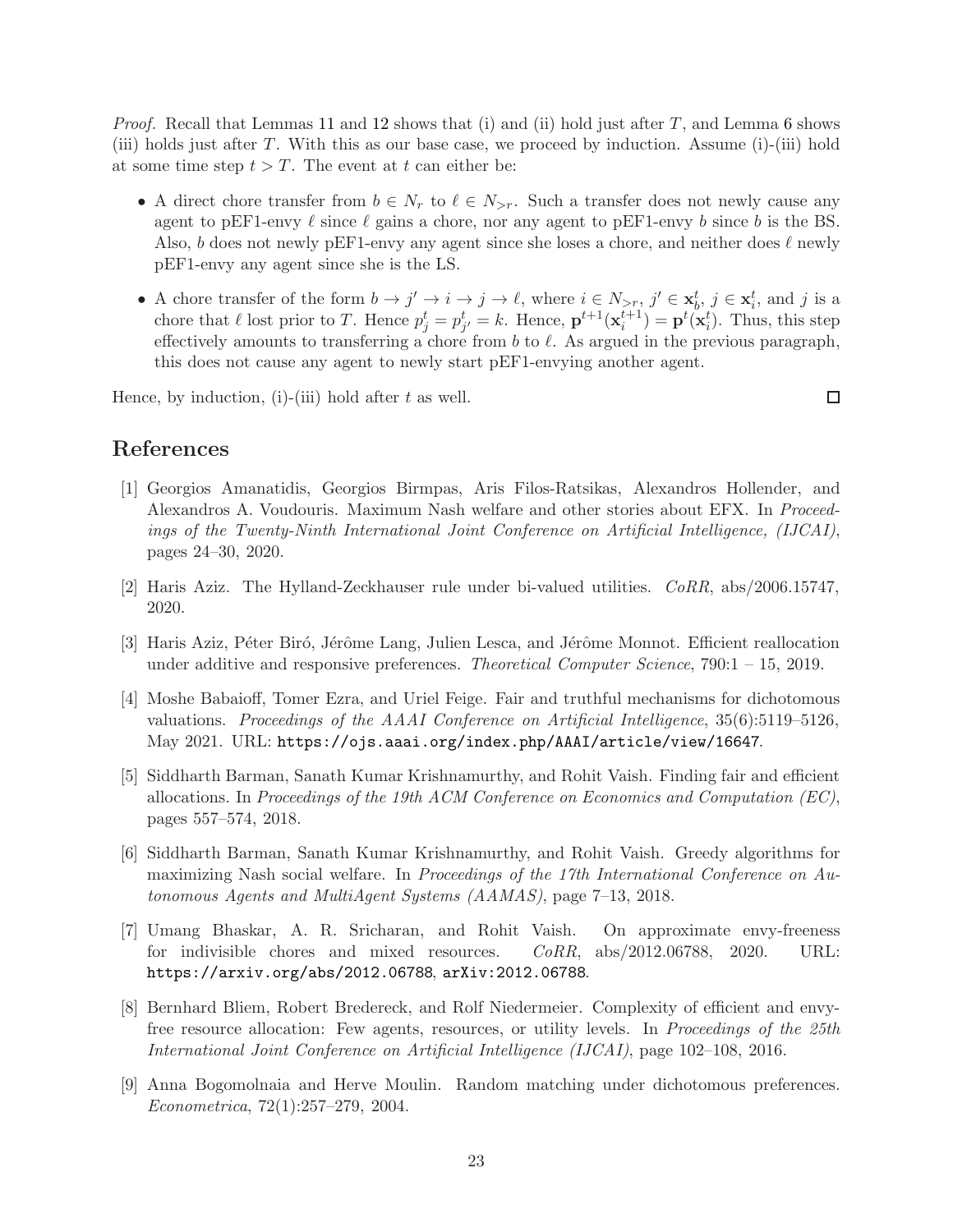*Proof.* Recall that Lemmas [11](#page-10-2) and [12](#page-10-3) shows that (i) and (ii) hold just after  $T$ , and Lemma [6](#page-8-1) shows (iii) holds just after T. With this as our base case, we proceed by induction. Assume (i)-(iii) hold at some time step  $t > T$ . The event at t can either be:

- A direct chore transfer from  $b \in N_r$  to  $\ell \in N_{\geq r}$ . Such a transfer does not newly cause any agent to pEF1-envy  $\ell$  since  $\ell$  gains a chore, nor any agent to pEF1-envy b since b is the BS. Also, b does not newly pEF1-envy any agent since she loses a chore, and neither does  $\ell$  newly pEF1-envy any agent since she is the LS.
- A chore transfer of the form  $b \to j' \to i \to j \to \ell$ , where  $i \in N_{\geq r}$ ,  $j' \in \mathbf{x}_b^t$ ,  $j \in \mathbf{x}_i^t$ , and j is a chore that  $\ell$  lost prior to T. Hence  $p_j^t = p_{j'}^t = k$ . Hence,  $\mathbf{p}^{t+1}(\mathbf{x}_i^{t+1}) = \mathbf{p}^t(\mathbf{x}_i^t)$ . Thus, this step effectively amounts to transferring a chore from  $b$  to  $\ell$ . As argued in the previous paragraph, this does not cause any agent to newly start pEF1-envying another agent.

Hence, by induction, (i)-(iii) hold after  $t$  as well.

 $\Box$ 

# <span id="page-22-2"></span>References

- [1] Georgios Amanatidis, Georgios Birmpas, Aris Filos-Ratsikas, Alexandros Hollender, and Alexandros A. Voudouris. Maximum Nash welfare and other stories about EFX. In Proceedings of the Twenty-Ninth International Joint Conference on Artificial Intelligence, (IJCAI), pages 24–30, 2020.
- <span id="page-22-4"></span><span id="page-22-3"></span>[2] Haris Aziz. The Hylland-Zeckhauser rule under bi-valued utilities. CoRR, abs/2006.15747, 2020.
- [3] Haris Aziz, Péter Biró, Jérôme Lang, Julien Lesca, and Jérôme Monnot. Efficient reallocation under additive and responsive preferences. *Theoretical Computer Science*, 790: $1 - 15$ , 2019.
- <span id="page-22-7"></span>[4] Moshe Babaioff, Tomer Ezra, and Uriel Feige. Fair and truthful mechanisms for dichotomous valuations. Proceedings of the AAAI Conference on Artificial Intelligence, 35(6):5119–5126, May 2021. URL: <https://ojs.aaai.org/index.php/AAAI/article/view/16647>.
- <span id="page-22-1"></span>[5] Siddharth Barman, Sanath Kumar Krishnamurthy, and Rohit Vaish. Finding fair and efficient allocations. In Proceedings of the 19th ACM Conference on Economics and Computation (EC), pages 557–574, 2018.
- <span id="page-22-6"></span>[6] Siddharth Barman, Sanath Kumar Krishnamurthy, and Rohit Vaish. Greedy algorithms for maximizing Nash social welfare. In Proceedings of the 17th International Conference on Autonomous Agents and MultiAgent Systems (AAMAS), page 7–13, 2018.
- <span id="page-22-0"></span>[7] Umang Bhaskar, A. R. Sricharan, and Rohit Vaish. On approximate envy-freeness for indivisible chores and mixed resources. CoRR, abs/2012.06788, 2020. URL: <https://arxiv.org/abs/2012.06788>, [arXiv:2012.06788](http://arxiv.org/abs/2012.06788).
- <span id="page-22-8"></span>[8] Bernhard Bliem, Robert Bredereck, and Rolf Niedermeier. Complexity of efficient and envyfree resource allocation: Few agents, resources, or utility levels. In Proceedings of the 25th International Joint Conference on Artificial Intelligence (IJCAI), page 102–108, 2016.
- <span id="page-22-5"></span>[9] Anna Bogomolnaia and Herve Moulin. Random matching under dichotomous preferences. Econometrica, 72(1):257–279, 2004.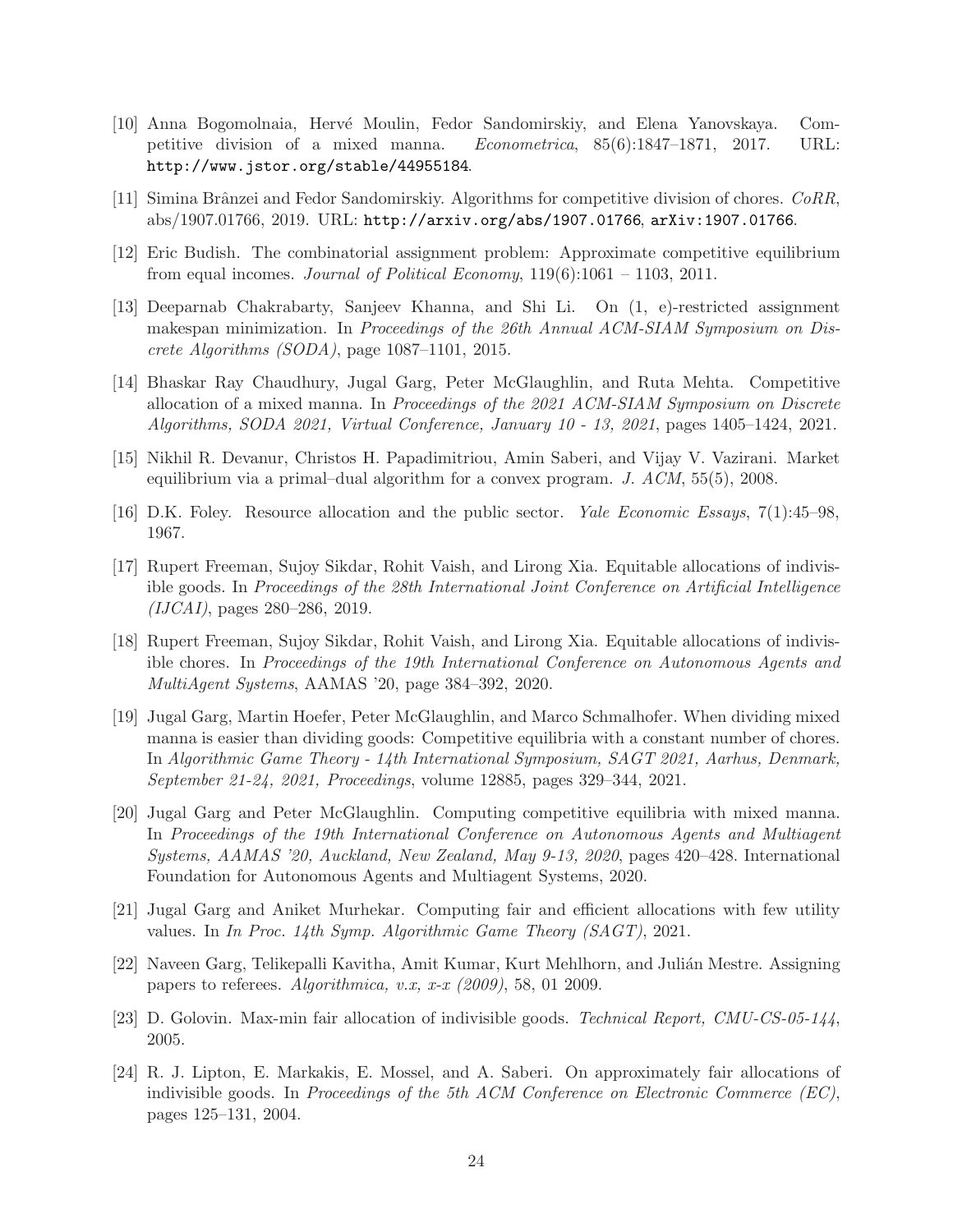- <span id="page-23-5"></span>[10] Anna Bogomolnaia, Herv´e Moulin, Fedor Sandomirskiy, and Elena Yanovskaya. Competitive division of a mixed manna. Econometrica, 85(6):1847–1871, 2017. URL: <http://www.jstor.org/stable/44955184>.
- <span id="page-23-6"></span><span id="page-23-1"></span>[11] Simina Brânzei and Fedor Sandomirskiy. Algorithms for competitive division of chores. CoRR, abs/1907.01766, 2019. URL: <http://arxiv.org/abs/1907.01766>, [arXiv:1907.01766](http://arxiv.org/abs/1907.01766).
- <span id="page-23-12"></span>[12] Eric Budish. The combinatorial assignment problem: Approximate competitive equilibrium from equal incomes. Journal of Political Economy,  $119(6):1061 - 1103$ , 2011.
- [13] Deeparnab Chakrabarty, Sanjeev Khanna, and Shi Li. On (1, e)-restricted assignment makespan minimization. In Proceedings of the 26th Annual ACM-SIAM Symposium on Discrete Algorithms (SODA), page 1087–1101, 2015.
- <span id="page-23-8"></span>[14] Bhaskar Ray Chaudhury, Jugal Garg, Peter McGlaughlin, and Ruta Mehta. Competitive allocation of a mixed manna. In Proceedings of the 2021 ACM-SIAM Symposium on Discrete Algorithms, SODA 2021, Virtual Conference, January 10 - 13, 2021, pages 1405–1424, 2021.
- <span id="page-23-4"></span><span id="page-23-0"></span>[15] Nikhil R. Devanur, Christos H. Papadimitriou, Amin Saberi, and Vijay V. Vazirani. Market equilibrium via a primal–dual algorithm for a convex program. J.  $ACM$ , 55(5), 2008.
- <span id="page-23-13"></span>[16] D.K. Foley. Resource allocation and the public sector. Yale Economic Essays, 7(1):45–98, 1967.
- [17] Rupert Freeman, Sujoy Sikdar, Rohit Vaish, and Lirong Xia. Equitable allocations of indivisible goods. In Proceedings of the 28th International Joint Conference on Artificial Intelligence (IJCAI), pages 280–286, 2019.
- <span id="page-23-14"></span>[18] Rupert Freeman, Sujoy Sikdar, Rohit Vaish, and Lirong Xia. Equitable allocations of indivisible chores. In Proceedings of the 19th International Conference on Autonomous Agents and MultiAgent Systems, AAMAS '20, page 384–392, 2020.
- <span id="page-23-9"></span>[19] Jugal Garg, Martin Hoefer, Peter McGlaughlin, and Marco Schmalhofer. When dividing mixed manna is easier than dividing goods: Competitive equilibria with a constant number of chores. In Algorithmic Game Theory - 14th International Symposium, SAGT 2021, Aarhus, Denmark, September 21-24, 2021, Proceedings, volume 12885, pages 329–344, 2021.
- <span id="page-23-7"></span>[20] Jugal Garg and Peter McGlaughlin. Computing competitive equilibria with mixed manna. In Proceedings of the 19th International Conference on Autonomous Agents and Multiagent Systems, AAMAS '20, Auckland, New Zealand, May 9-13, 2020, pages 420–428. International Foundation for Autonomous Agents and Multiagent Systems, 2020.
- <span id="page-23-3"></span>[21] Jugal Garg and Aniket Murhekar. Computing fair and efficient allocations with few utility values. In In Proc. 14th Symp. Algorithmic Game Theory (SAGT), 2021.
- <span id="page-23-11"></span>[22] Naveen Garg, Telikepalli Kavitha, Amit Kumar, Kurt Mehlhorn, and Julián Mestre. Assigning papers to referees. Algorithmica, v.x, x-x  $(2009)$ , 58, 01 2009.
- <span id="page-23-10"></span><span id="page-23-2"></span>[23] D. Golovin. Max-min fair allocation of indivisible goods. Technical Report, CMU-CS-05-144, 2005.
- [24] R. J. Lipton, E. Markakis, E. Mossel, and A. Saberi. On approximately fair allocations of indivisible goods. In Proceedings of the 5th ACM Conference on Electronic Commerce  $(EC)$ , pages 125–131, 2004.